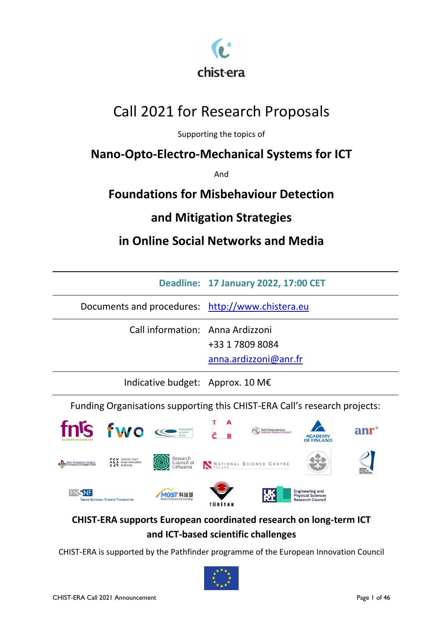

# Call 2021 for Research Proposals

Supporting the topics of

# **Nano-Opto-Electro-Mechanical Systems for ICT**

And

# **Foundations for Misbehaviour Detection**

# **and Mitigation Strategies**

# **in Online Social Networks and Media**

|                                                  | Deadline: 17 January 2022, 17:00 CET     |
|--------------------------------------------------|------------------------------------------|
| Documents and procedures: http://www.chistera.eu |                                          |
| Call information: Anna Ardizzoni                 | +33 1 7809 8084<br>anna.ardizzoni@anr.fr |
| Indicative budget: Approx. 10 M $\epsilon$       |                                          |

Funding Organisations supporting this CHIST-ERA Call's research projects:



## **CHIST-ERA supports European coordinated research on long-term ICT and ICT-based scientific challenges**

CHIST-ERA is supported by the Pathfinder programme of the European Innovation Council

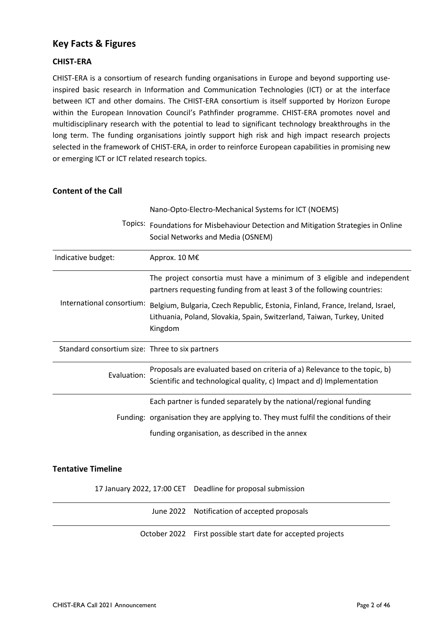## <span id="page-1-0"></span>**Key Facts & Figures**

### **CHIST-ERA**

CHIST-ERA is a consortium of research funding organisations in Europe and beyond supporting useinspired basic research in Information and Communication Technologies (ICT) or at the interface between ICT and other domains. The CHIST-ERA consortium is itself supported by Horizon Europe within the European Innovation Council's Pathfinder programme. CHIST-ERA promotes novel and multidisciplinary research with the potential to lead to significant technology breakthroughs in the long term. The funding organisations jointly support high risk and high impact research projects selected in the framework of CHIST-ERA, in order to reinforce European capabilities in promising new or emerging ICT or ICT related research topics.

## **Content of the Call**

|                                                 | Nano-Opto-Electro-Mechanical Systems for ICT (NOEMS)                                                                                                                |  |  |  |  |  |  |  |  |
|-------------------------------------------------|---------------------------------------------------------------------------------------------------------------------------------------------------------------------|--|--|--|--|--|--|--|--|
|                                                 | Topics: Foundations for Misbehaviour Detection and Mitigation Strategies in Online<br>Social Networks and Media (OSNEM)                                             |  |  |  |  |  |  |  |  |
| Indicative budget:                              | Approx. 10 M€                                                                                                                                                       |  |  |  |  |  |  |  |  |
|                                                 | The project consortia must have a minimum of 3 eligible and independent<br>partners requesting funding from at least 3 of the following countries:                  |  |  |  |  |  |  |  |  |
| International consortium:                       | Belgium, Bulgaria, Czech Republic, Estonia, Finland, France, Ireland, Israel,<br>Lithuania, Poland, Slovakia, Spain, Switzerland, Taiwan, Turkey, United<br>Kingdom |  |  |  |  |  |  |  |  |
| Standard consortium size: Three to six partners |                                                                                                                                                                     |  |  |  |  |  |  |  |  |
| Evaluation:                                     | Proposals are evaluated based on criteria of a) Relevance to the topic, b)<br>Scientific and technological quality, c) Impact and d) Implementation                 |  |  |  |  |  |  |  |  |
|                                                 | Each partner is funded separately by the national/regional funding                                                                                                  |  |  |  |  |  |  |  |  |
|                                                 | Funding: organisation they are applying to. They must fulfil the conditions of their                                                                                |  |  |  |  |  |  |  |  |
|                                                 | funding organisation, as described in the annex                                                                                                                     |  |  |  |  |  |  |  |  |

## **Tentative Timeline**

17 January 2022, 17:00 CET Deadline for proposal submission

June 2022 Notification of accepted proposals

October 2022 First possible start date for accepted projects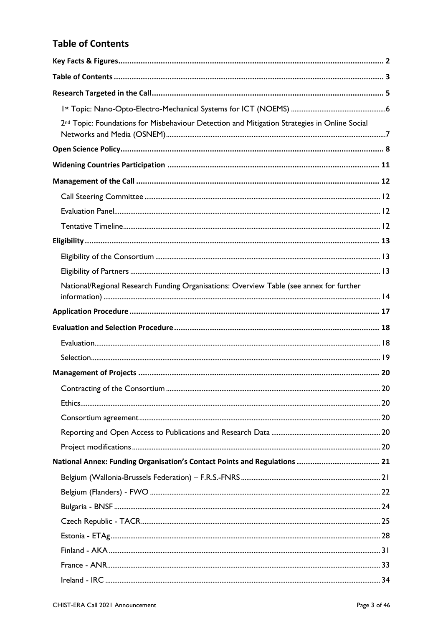## <span id="page-2-0"></span>**Table of Contents**

| 2 <sup>nd</sup> Topic: Foundations for Misbehaviour Detection and Mitigation Strategies in Online Social |  |
|----------------------------------------------------------------------------------------------------------|--|
|                                                                                                          |  |
|                                                                                                          |  |
|                                                                                                          |  |
|                                                                                                          |  |
|                                                                                                          |  |
|                                                                                                          |  |
|                                                                                                          |  |
|                                                                                                          |  |
|                                                                                                          |  |
| National/Regional Research Funding Organisations: Overview Table (see annex for further                  |  |
|                                                                                                          |  |
|                                                                                                          |  |
|                                                                                                          |  |
|                                                                                                          |  |
|                                                                                                          |  |
|                                                                                                          |  |
|                                                                                                          |  |
|                                                                                                          |  |
|                                                                                                          |  |
|                                                                                                          |  |
|                                                                                                          |  |
|                                                                                                          |  |
|                                                                                                          |  |
|                                                                                                          |  |
|                                                                                                          |  |
|                                                                                                          |  |
|                                                                                                          |  |
|                                                                                                          |  |
|                                                                                                          |  |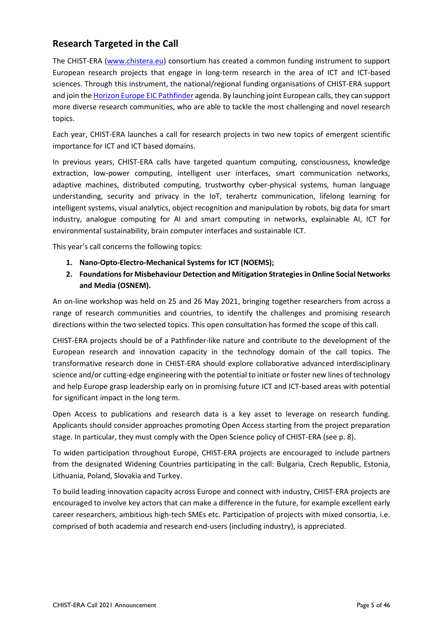## <span id="page-4-0"></span>**Research Targeted in the Call**

The CHIST-ERA [\(www.chistera.eu\)](http://www.chistera.eu/) consortium has created a common funding instrument to support European research projects that engage in long-term research in the area of ICT and ICT-based sciences. Through this instrument, the national/regional funding organisations of CHIST-ERA support and join th[e Horizon Europe](https://eic.ec.europa.eu/eic-funding-opportunities/eic-pathfinder_en) EIC Pathfinder agenda. By launching joint European calls, they can support more diverse research communities, who are able to tackle the most challenging and novel research topics.

Each year, CHIST-ERA launches a call for research projects in two new topics of emergent scientific importance for ICT and ICT based domains.

In previous years, CHIST-ERA calls have targeted quantum computing, consciousness, knowledge extraction, low-power computing, intelligent user interfaces, smart communication networks, adaptive machines, distributed computing, trustworthy cyber-physical systems, human language understanding, security and privacy in the IoT, terahertz communication, lifelong learning for intelligent systems, visual analytics, object recognition and manipulation by robots, big data for smart industry, analogue computing for AI and smart computing in networks, explainable AI, ICT for environmental sustainability, brain computer interfaces and sustainable ICT.

This year's call concerns the following topics:

- **1. Nano-Opto-Electro-Mechanical Systems for ICT (NOEMS);**
- **2. Foundations for Misbehaviour Detection and Mitigation Strategies in Online Social Networks and Media (OSNEM).**

An on-line workshop was held on 25 and 26 May 2021, bringing together researchers from across a range of research communities and countries, to identify the challenges and promising research directions within the two selected topics. This open consultation has formed the scope of this call.

CHIST-ERA projects should be of a Pathfinder-like nature and contribute to the development of the European research and innovation capacity in the technology domain of the call topics. The transformative research done in CHIST-ERA should explore collaborative advanced interdisciplinary science and/or cutting-edge engineering with the potential to initiate or foster new lines of technology and help Europe grasp leadership early on in promising future ICT and ICT-based areas with potential for significant impact in the long term.

Open Access to publications and research data is a key asset to leverage on research funding. Applicants should consider approaches promoting Open Access starting from the project preparation stage. In particular, they must comply with the Open Science policy of CHIST-ERA (see p. 8).

To widen participation throughout Europe, CHIST-ERA projects are encouraged to include partners from the designated Widening Countries participating in the call: Bulgaria, Czech Republic, Estonia, Lithuania, Poland, Slovakia and Turkey.

To build leading innovation capacity across Europe and connect with industry, CHIST-ERA projects are encouraged to involve key actors that can make a difference in the future, for example excellent early career researchers, ambitious high-tech SMEs etc. Participation of projects with mixed consortia, i.e. comprised of both academia and research end-users (including industry), is appreciated.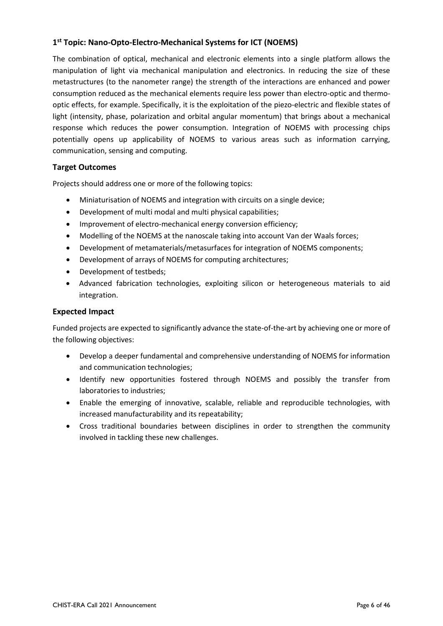## <span id="page-5-0"></span>**1 st Topic: Nano-Opto-Electro-Mechanical Systems for ICT (NOEMS)**

The combination of optical, mechanical and electronic elements into a single platform allows the manipulation of light via mechanical manipulation and electronics. In reducing the size of these metastructures (to the nanometer range) the strength of the interactions are enhanced and power consumption reduced as the mechanical elements require less power than electro-optic and thermooptic effects, for example. Specifically, it is the exploitation of the piezo-electric and flexible states of light (intensity, phase, polarization and orbital angular momentum) that brings about a mechanical response which reduces the power consumption. Integration of NOEMS with processing chips potentially opens up applicability of NOEMS to various areas such as information carrying, communication, sensing and computing.

## **Target Outcomes**

Projects should address one or more of the following topics:

- Miniaturisation of NOEMS and integration with circuits on a single device;
- Development of multi modal and multi physical capabilities;
- Improvement of electro-mechanical energy conversion efficiency;
- Modelling of the NOEMS at the nanoscale taking into account Van der Waals forces;
- Development of metamaterials/metasurfaces for integration of NOEMS components;
- Development of arrays of NOEMS for computing architectures;
- Development of testbeds;
- Advanced fabrication technologies, exploiting silicon or heterogeneous materials to aid integration.

### **Expected Impact**

Funded projects are expected to significantly advance the state-of-the-art by achieving one or more of the following objectives:

- Develop a deeper fundamental and comprehensive understanding of NOEMS for information and communication technologies;
- Identify new opportunities fostered through NOEMS and possibly the transfer from laboratories to industries;
- Enable the emerging of innovative, scalable, reliable and reproducible technologies, with increased manufacturability and its repeatability;
- Cross traditional boundaries between disciplines in order to strengthen the community involved in tackling these new challenges.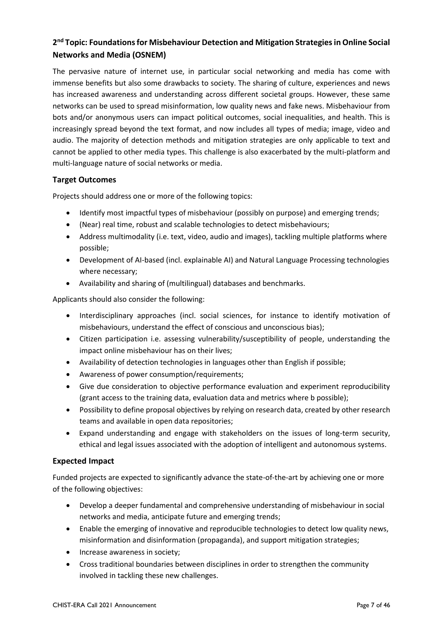## <span id="page-6-0"></span>**2 nd Topic: Foundations for Misbehaviour Detection and Mitigation Strategies in Online Social Networks and Media (OSNEM)**

The pervasive nature of internet use, in particular social networking and media has come with immense benefits but also some drawbacks to society. The sharing of culture, experiences and news has increased awareness and understanding across different societal groups. However, these same networks can be used to spread misinformation, low quality news and fake news. Misbehaviour from bots and/or anonymous users can impact political outcomes, social inequalities, and health. This is increasingly spread beyond the text format, and now includes all types of media; image, video and audio. The majority of detection methods and mitigation strategies are only applicable to text and cannot be applied to other media types. This challenge is also exacerbated by the multi-platform and multi-language nature of social networks or media.

## **Target Outcomes**

Projects should address one or more of the following topics:

- Identify most impactful types of misbehaviour (possibly on purpose) and emerging trends;
- (Near) real time, robust and scalable technologies to detect misbehaviours;
- Address multimodality (i.e. text, video, audio and images), tackling multiple platforms where possible;
- Development of AI-based (incl. explainable AI) and Natural Language Processing technologies where necessary;
- Availability and sharing of (multilingual) databases and benchmarks.

Applicants should also consider the following:

- Interdisciplinary approaches (incl. social sciences, for instance to identify motivation of misbehaviours, understand the effect of conscious and unconscious bias);
- Citizen participation i.e. assessing vulnerability/susceptibility of people, understanding the impact online misbehaviour has on their lives;
- Availability of detection technologies in languages other than English if possible;
- Awareness of power consumption/requirements;
- Give due consideration to objective performance evaluation and experiment reproducibility (grant access to the training data, evaluation data and metrics where b possible);
- Possibility to define proposal objectives by relying on research data, created by other research teams and available in open data repositories;
- Expand understanding and engage with stakeholders on the issues of long-term security, ethical and legal issues associated with the adoption of intelligent and autonomous systems.

## **Expected Impact**

Funded projects are expected to significantly advance the state-of-the-art by achieving one or more of the following objectives:

- Develop a deeper fundamental and comprehensive understanding of misbehaviour in social networks and media, anticipate future and emerging trends;
- Enable the emerging of innovative and reproducible technologies to detect low quality news, misinformation and disinformation (propaganda), and support mitigation strategies;
- Increase awareness in society;
- Cross traditional boundaries between disciplines in order to strengthen the community involved in tackling these new challenges.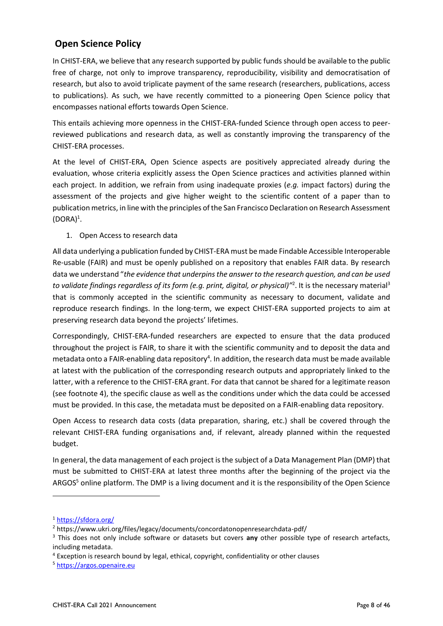## <span id="page-7-0"></span>**Open Science Policy**

In CHIST-ERA, we believe that any research supported by public funds should be available to the public free of charge, not only to improve transparency, reproducibility, visibility and democratisation of research, but also to avoid triplicate payment of the same research (researchers, publications, access to publications). As such, we have recently committed to a pioneering Open Science policy that encompasses national efforts towards Open Science.

This entails achieving more openness in the CHIST-ERA-funded Science through open access to peerreviewed publications and research data, as well as constantly improving the transparency of the CHIST-ERA processes.

At the level of CHIST-ERA, Open Science aspects are positively appreciated already during the evaluation, whose criteria explicitly assess the Open Science practices and activities planned within each project. In addition, we refrain from using inadequate proxies (*e.g.* impact factors) during the assessment of the projects and give higher weight to the scientific content of a paper than to publication metrics, in line with the principles of the San Francisco Declaration on Research Assessment  $(DORA)^1$ .

## 1. Open Access to research data

All data underlying a publication funded by CHIST-ERA must be made Findable Accessible Interoperable Re-usable (FAIR) and must be openly published on a repository that enables FAIR data. By research data we understand "*the evidence that underpins the answer to the research question, and can be used*  to validate findings regardless of its form (e.g. print, digital, or physical)<sup>12</sup>. It is the necessary material<sup>3</sup> that is commonly accepted in the scientific community as necessary to document, validate and reproduce research findings. In the long-term, we expect CHIST-ERA supported projects to aim at preserving research data beyond the projects' lifetimes.

Correspondingly, CHIST-ERA-funded researchers are expected to ensure that the data produced throughout the project is FAIR, to share it with the scientific community and to deposit the data and metadata onto a FAIR-enabling data repository<sup>4</sup>. In addition, the research data must be made available at latest with the publication of the corresponding research outputs and appropriately linked to the latter, with a reference to the CHIST-ERA grant. For data that cannot be shared for a legitimate reason (see footnote 4), the specific clause as well as the conditions under which the data could be accessed must be provided. In this case, the metadata must be deposited on a FAIR-enabling data repository.

Open Access to research data costs (data preparation, sharing, etc.) shall be covered through the relevant CHIST-ERA funding organisations and, if relevant, already planned within the requested budget.

In general, the data management of each project is the subject of a Data Management Plan (DMP) that must be submitted to CHIST-ERA at latest three months after the beginning of the project via the ARGOS<sup>5</sup> online platform. The DMP is a living document and it is the responsibility of the Open Science

-

<sup>1</sup> <https://sfdora.org/>

<sup>2</sup> https://www.ukri.org/files/legacy/documents/concordatonopenresearchdata-pdf/

<sup>3</sup> This does not only include software or datasets but covers **any** other possible type of research artefacts, including metadata.

<sup>4</sup> Exception is research bound by legal, ethical, copyright, confidentiality or other clauses

<sup>5</sup> [https://argos.openaire.eu](https://argos.openaire.eu/)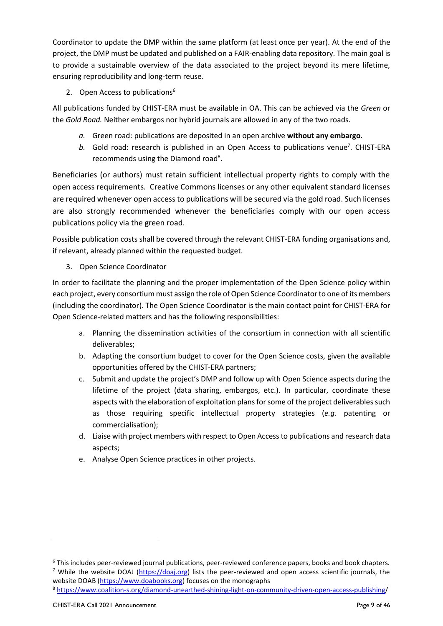Coordinator to update the DMP within the same platform (at least once per year). At the end of the project, the DMP must be updated and published on a FAIR-enabling data repository. The main goal is to provide a sustainable overview of the data associated to the project beyond its mere lifetime, ensuring reproducibility and long-term reuse.

2. Open Access to publications<sup>6</sup>

All publications funded by CHIST-ERA must be available in OA. This can be achieved via the *Green* or the *Gold Road.* Neither embargos nor hybrid journals are allowed in any of the two roads.

- *a.* Green road: publications are deposited in an open archive **without any embargo**.
- b. Gold road: research is published in an Open Access to publications venue<sup>7</sup>. CHIST-ERA recommends using the Diamond road<sup>8</sup>.

Beneficiaries (or authors) must retain sufficient intellectual property rights to comply with the open access requirements. Creative Commons licenses or any other equivalent standard licenses are required whenever open access to publications will be secured via the gold road. Such licenses are also strongly recommended whenever the beneficiaries comply with our open access publications policy via the green road.

Possible publication costs shall be covered through the relevant CHIST-ERA funding organisations and, if relevant, already planned within the requested budget.

3. Open Science Coordinator

In order to facilitate the planning and the proper implementation of the Open Science policy within each project, every consortium must assign the role of Open Science Coordinator to one of its members (including the coordinator). The Open Science Coordinator is the main contact point for CHIST-ERA for Open Science-related matters and has the following responsibilities:

- a. Planning the dissemination activities of the consortium in connection with all scientific deliverables;
- b. Adapting the consortium budget to cover for the Open Science costs, given the available opportunities offered by the CHIST-ERA partners;
- c. Submit and update the project's DMP and follow up with Open Science aspects during the lifetime of the project (data sharing, embargos, etc.). In particular, coordinate these aspects with the elaboration of exploitation plans for some of the project deliverables such as those requiring specific intellectual property strategies (*e.g.* patenting or commercialisation);
- d. Liaise with project members with respect to Open Access to publications and research data aspects;
- e. Analyse Open Science practices in other projects.

-

<sup>6</sup> This includes peer-reviewed journal publications, peer-reviewed conference papers, books and book chapters. <sup>7</sup> While the website DOAJ [\(https://doaj.org\)](https://doaj.org/) lists the peer-reviewed and open access scientific journals, the website DOAB [\(https://www.doabooks.org\)](https://www.doabooks.org/) focuses on the monographs

<sup>8</sup> [https://www.coalition-s.org/diamond-unearthed-shining-light-on-community-driven-open-access-publishing/](https://www.coalition-s.org/diamond-unearthed-shining-light-on-community-driven-open-access-publishing)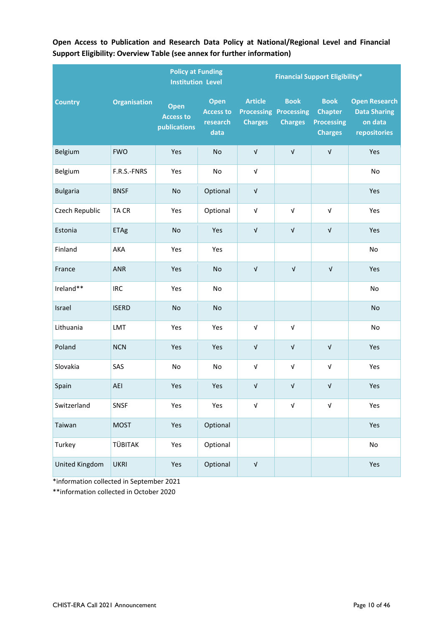|                 |                     | <b>Policy at Funding</b><br><b>Institution Level</b> |                                                     | <b>Financial Support Eligibility*</b> |                                                               |                                                                      |                                                                        |  |  |
|-----------------|---------------------|------------------------------------------------------|-----------------------------------------------------|---------------------------------------|---------------------------------------------------------------|----------------------------------------------------------------------|------------------------------------------------------------------------|--|--|
| <b>Country</b>  | <b>Organisation</b> | Open<br><b>Access to</b><br>publications             | <b>Open</b><br><b>Access to</b><br>research<br>data | <b>Article</b><br><b>Charges</b>      | <b>Book</b><br><b>Processing Processing</b><br><b>Charges</b> | <b>Book</b><br><b>Chapter</b><br><b>Processing</b><br><b>Charges</b> | <b>Open Research</b><br><b>Data Sharing</b><br>on data<br>repositories |  |  |
| Belgium         | <b>FWO</b>          | Yes                                                  | No                                                  | $\sqrt{ }$                            | $\sqrt{ }$                                                    | $\sqrt{ }$                                                           | Yes                                                                    |  |  |
| Belgium         | F.R.S.-FNRS         | Yes                                                  | No                                                  | $\ensuremath{\mathsf{V}}$             |                                                               |                                                                      | No                                                                     |  |  |
| <b>Bulgaria</b> | <b>BNSF</b>         | <b>No</b>                                            | Optional                                            | $\ensuremath{\mathsf{V}}$             |                                                               |                                                                      | Yes                                                                    |  |  |
| Czech Republic  | TA CR               | Yes                                                  | Optional                                            | $\sqrt{ }$                            | $\sqrt{ }$                                                    | $\sqrt{ }$                                                           | Yes                                                                    |  |  |
| Estonia         | <b>ETAg</b>         | No                                                   | Yes                                                 | $\sqrt{ }$                            | $\ensuremath{\mathsf{V}}$                                     | $\ensuremath{\mathsf{V}}$                                            | Yes                                                                    |  |  |
| Finland         | AKA                 | Yes                                                  | Yes                                                 |                                       |                                                               |                                                                      | No                                                                     |  |  |
| France          | ANR                 | Yes                                                  | No                                                  | $\sqrt{ }$                            | $\sqrt{ }$                                                    | $\sqrt{ }$                                                           | Yes                                                                    |  |  |
| Ireland**       | <b>IRC</b>          | Yes                                                  | No                                                  |                                       |                                                               |                                                                      | No                                                                     |  |  |
| Israel          | <b>ISERD</b>        | <b>No</b>                                            | No                                                  |                                       |                                                               |                                                                      | No                                                                     |  |  |
| Lithuania       | LMT                 | Yes                                                  | Yes                                                 | $\sqrt{ }$                            | $\sqrt{ }$                                                    |                                                                      | No                                                                     |  |  |
| Poland          | <b>NCN</b>          | Yes                                                  | Yes                                                 | $\ensuremath{\mathsf{V}}$             | $\ensuremath{\mathsf{V}}$                                     | $\ensuremath{\mathsf{V}}$                                            | Yes                                                                    |  |  |
| Slovakia        | SAS                 | No                                                   | No                                                  | $\sqrt{ }$                            | $\sqrt{ }$                                                    | $\ensuremath{\mathsf{V}}$                                            | Yes                                                                    |  |  |
| Spain           | AEI                 | Yes                                                  | Yes                                                 | $\sqrt{ }$                            | $\sqrt{ }$                                                    | $\sqrt{ }$                                                           | Yes                                                                    |  |  |
| Switzerland     | SNSF                | Yes                                                  | Yes                                                 | $\ensuremath{\mathsf{V}}$             | $\ensuremath{\mathsf{V}}$                                     | $\ensuremath{\mathsf{V}}$                                            | Yes                                                                    |  |  |
| Taiwan          | <b>MOST</b>         | Yes                                                  | Optional                                            |                                       |                                                               |                                                                      | Yes                                                                    |  |  |
| Turkey          | TÜBITAK             | Yes                                                  | Optional                                            |                                       |                                                               |                                                                      | $\mathsf{No}$                                                          |  |  |
| United Kingdom  | <b>UKRI</b>         | Yes                                                  | Optional                                            | $\ensuremath{\mathsf{V}}$             |                                                               |                                                                      | Yes                                                                    |  |  |

**Open Access to Publication and Research Data Policy at National/Regional Level and Financial Support Eligibility: Overview Table (see annex for further information)**

\*information collected in September 2021

\*\*information collected in October 2020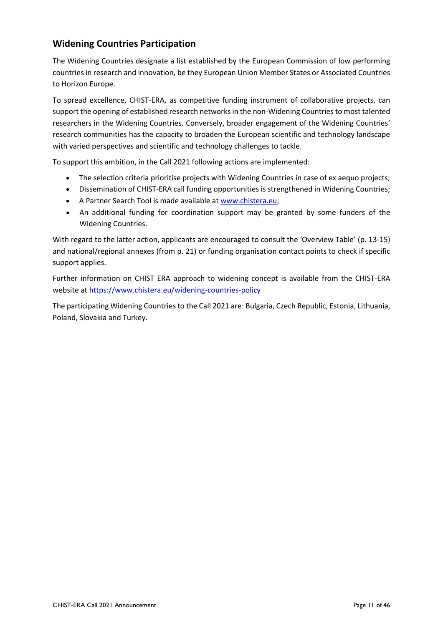## <span id="page-10-0"></span>**Widening Countries Participation**

The Widening Countries designate a list established by the European Commission of low performing countries in research and innovation, be they European Union Member States or Associated Countries to Horizon Europe.

To spread excellence, CHIST-ERA, as competitive funding instrument of collaborative projects, can support the opening of established research networks in the non-Widening Countries to most talented researchers in the Widening Countries. Conversely, broader engagement of the Widening Countries' research communities has the capacity to broaden the European scientific and technology landscape with varied perspectives and scientific and technology challenges to tackle.

To support this ambition, in the Call 2021 following actions are implemented:

- The selection criteria prioritise projects with Widening Countries in case of ex aequo projects;
- Dissemination of CHIST-ERA call funding opportunities is strengthened in Widening Countries;
- A Partner Search Tool is made available at [www.chistera.eu;](https://www.chistera.eu/www.chistera.eu)
- An additional funding for coordination support may be granted by some funders of the Widening Countries.

With regard to the latter action, applicants are encouraged to consult the 'Overview Table' (p. 13-15) and national/regional annexes (from p. 21) or funding organisation contact points to check if specific support applies.

Further information on CHIST ERA approach to widening concept is available from the CHIST-ERA website at<https://www.chistera.eu/widening-countries-policy>

The participating Widening Countries to the Call 2021 are: Bulgaria, Czech Republic, Estonia, Lithuania, Poland, Slovakia and Turkey.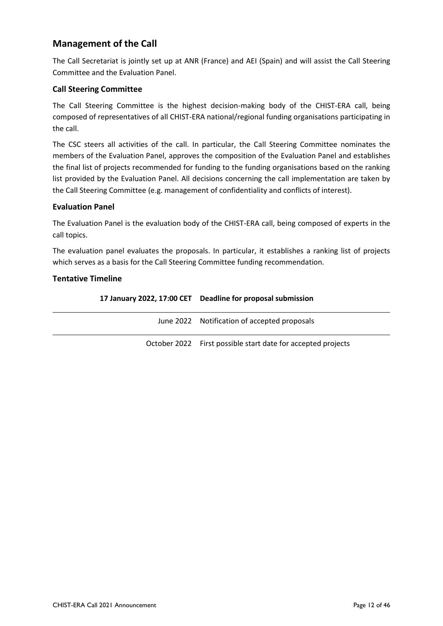## <span id="page-11-0"></span>**Management of the Call**

The Call Secretariat is jointly set up at ANR (France) and AEI (Spain) and will assist the Call Steering Committee and the Evaluation Panel.

## <span id="page-11-1"></span>**Call Steering Committee**

The Call Steering Committee is the highest decision-making body of the CHIST-ERA call, being composed of representatives of all CHIST-ERA national/regional funding organisations participating in the call.

The CSC steers all activities of the call. In particular, the Call Steering Committee nominates the members of the Evaluation Panel, approves the composition of the Evaluation Panel and establishes the final list of projects recommended for funding to the funding organisations based on the ranking list provided by the Evaluation Panel. All decisions concerning the call implementation are taken by the Call Steering Committee (e.g. management of confidentiality and conflicts of interest).

## <span id="page-11-2"></span>**Evaluation Panel**

The Evaluation Panel is the evaluation body of the CHIST-ERA call, being composed of experts in the call topics.

The evaluation panel evaluates the proposals. In particular, it establishes a ranking list of projects which serves as a basis for the Call Steering Committee funding recommendation.

## <span id="page-11-3"></span>**Tentative Timeline**

|  | 17 January 2022, 17:00 CET Deadline for proposal submission |
|--|-------------------------------------------------------------|
|--|-------------------------------------------------------------|

| June 2022 Notification of accepted proposals                 |
|--------------------------------------------------------------|
| October 2022 First possible start date for accepted projects |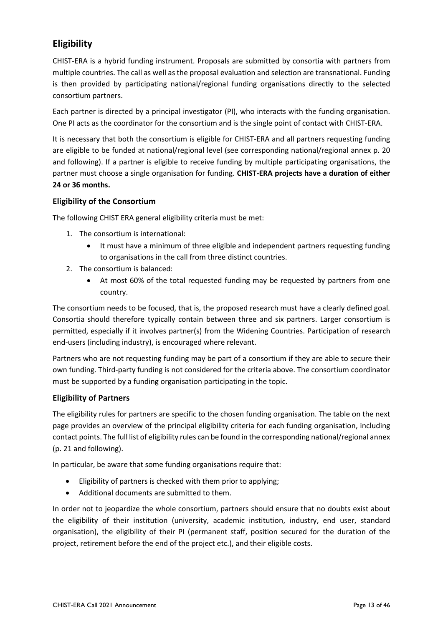## <span id="page-12-0"></span>**Eligibility**

CHIST-ERA is a hybrid funding instrument. Proposals are submitted by consortia with partners from multiple countries. The call as well as the proposal evaluation and selection are transnational. Funding is then provided by participating national/regional funding organisations directly to the selected consortium partners.

Each partner is directed by a principal investigator (PI), who interacts with the funding organisation. One PI acts as the coordinator for the consortium and is the single point of contact with CHIST-ERA.

It is necessary that both the consortium is eligible for CHIST-ERA and all partners requesting funding are eligible to be funded at national/regional level (see corresponding national/regional annex p. 20 and following). If a partner is eligible to receive funding by multiple participating organisations, the partner must choose a single organisation for funding. **CHIST-ERA projects have a duration of either 24 or 36 months.**

## <span id="page-12-1"></span>**Eligibility of the Consortium**

The following CHIST ERA general eligibility criteria must be met:

- 1. The consortium is international:
	- It must have a minimum of three eligible and independent partners requesting funding to organisations in the call from three distinct countries.
- 2. The consortium is balanced:
	- At most 60% of the total requested funding may be requested by partners from one country.

The consortium needs to be focused, that is, the proposed research must have a clearly defined goal. Consortia should therefore typically contain between three and six partners. Larger consortium is permitted, especially if it involves partner(s) from the Widening Countries. Participation of research end-users (including industry), is encouraged where relevant.

Partners who are not requesting funding may be part of a consortium if they are able to secure their own funding. Third-party funding is not considered for the criteria above. The consortium coordinator must be supported by a funding organisation participating in the topic.

## <span id="page-12-2"></span>**Eligibility of Partners**

The eligibility rules for partners are specific to the chosen funding organisation. The table on the next page provides an overview of the principal eligibility criteria for each funding organisation, including contact points. The full list of eligibility rules can be found in the corresponding national/regional annex (p. 21 and following).

In particular, be aware that some funding organisations require that:

- Eligibility of partners is checked with them prior to applying;
- Additional documents are submitted to them.

In order not to jeopardize the whole consortium, partners should ensure that no doubts exist about the eligibility of their institution (university, academic institution, industry, end user, standard organisation), the eligibility of their PI (permanent staff, position secured for the duration of the project, retirement before the end of the project etc.), and their eligible costs.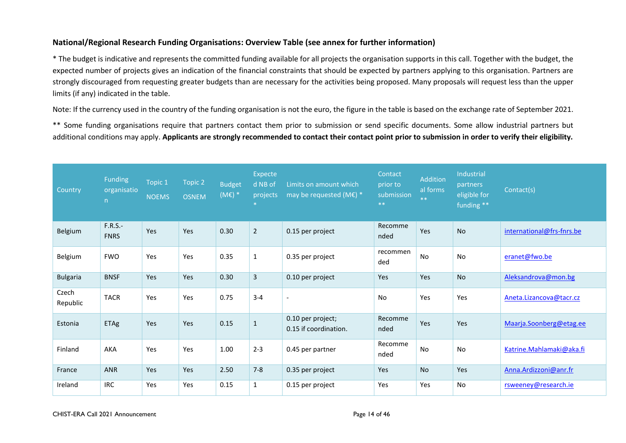## **National/Regional Research Funding Organisations: Overview Table (see annex for further information)**

\* The budget is indicative and represents the committed funding available for all projects the organisation supports in this call. Together with the budget, the expected number of projects gives an indication of the financial constraints that should be expected by partners applying to this organisation. Partners are strongly discouraged from requesting greater budgets than are necessary for the activities being proposed. Many proposals will request less than the upper limits (if any) indicated in the table.

Note: If the currency used in the country of the funding organisation is not the euro, the figure in the table is based on the exchange rate of September 2021.

\*\* Some funding organisations require that partners contact them prior to submission or send specific documents. Some allow industrial partners but additional conditions may apply. **Applicants are strongly recommended to contact their contact point prior to submission in order to verify their eligibility.**

<span id="page-13-0"></span>

| Country           | Funding<br>organisatio<br>n | Topic 1<br><b>NOEMS</b> | Topic 2<br><b>OSNEM</b> | <b>Budget</b><br>$(ME)$ * | Expecte<br>d NB of<br>projects<br>$\ast$ | Limits on amount which<br>may be requested (M $\varepsilon$ ) * | Contact<br>prior to<br>submission<br>$***$ | Addition<br>al forms<br>$**$ | Industrial<br>partners<br>eligible for<br>funding ** | Contact(s)                |
|-------------------|-----------------------------|-------------------------|-------------------------|---------------------------|------------------------------------------|-----------------------------------------------------------------|--------------------------------------------|------------------------------|------------------------------------------------------|---------------------------|
| Belgium           | $F.R.S.-$<br><b>FNRS</b>    | Yes                     | Yes                     | 0.30                      | $\overline{2}$                           | 0.15 per project                                                | Recomme<br>nded                            | Yes                          | <b>No</b>                                            | international@frs-fnrs.be |
| Belgium           | <b>FWO</b>                  | Yes                     | Yes                     | 0.35                      | $\mathbf 1$                              | 0.35 per project                                                | recommen<br>ded                            | No                           | No                                                   | eranet@fwo.be             |
| <b>Bulgaria</b>   | <b>BNSF</b>                 | Yes                     | Yes                     | 0.30                      | $\overline{3}$                           | 0.10 per project                                                | Yes                                        | Yes                          | <b>No</b>                                            | Aleksandrova@mon.bg       |
| Czech<br>Republic | <b>TACR</b>                 | Yes                     | Yes                     | 0.75                      | $3 - 4$                                  | $\overline{\phantom{a}}$                                        | No                                         | Yes                          | Yes                                                  | Aneta.Lizancova@tacr.cz   |
| Estonia           | ETAg                        | Yes                     | Yes                     | 0.15                      | $\mathbf 1$                              | 0.10 per project;<br>0.15 if coordination.                      | Recomme<br>nded                            | Yes                          | Yes                                                  | Maarja.Soonberg@etag.ee   |
| Finland           | <b>AKA</b>                  | Yes                     | Yes                     | 1.00                      | $2 - 3$                                  | 0.45 per partner                                                | Recomme<br>nded                            | No                           | No                                                   | Katrine.Mahlamaki@aka.fi  |
| France            | <b>ANR</b>                  | Yes                     | Yes                     | 2.50                      | $7 - 8$                                  | 0.35 per project                                                | Yes                                        | No                           | Yes                                                  | Anna.Ardizzoni@anr.fr     |
| Ireland           | <b>IRC</b>                  | Yes                     | Yes                     | 0.15                      | $\mathbf{1}$                             | 0.15 per project                                                | Yes                                        | Yes                          | No                                                   | rsweeney@research.ie      |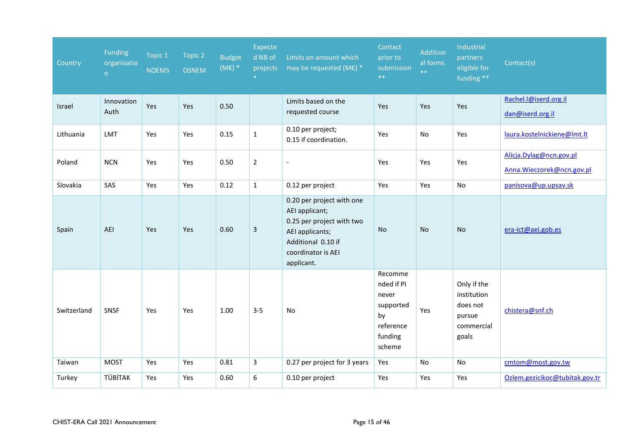| Country     | Funding<br>organisatio<br>n | Topic 1<br><b>NOEMS</b> | Topic 2<br><b>OSNEM</b> | <b>Budget</b><br>$(ME)$ * | Expecte<br>d NB of<br>projects<br>$\ast$ | Limits on amount which<br>may be requested (ME) $*$                                                                                                   | Contact<br>prior to<br>submission<br>$***$                                          | Addition<br>al forms<br>$**$ | Industrial<br>partners<br>eligible for<br>funding **                    | Contact(s)                                           |
|-------------|-----------------------------|-------------------------|-------------------------|---------------------------|------------------------------------------|-------------------------------------------------------------------------------------------------------------------------------------------------------|-------------------------------------------------------------------------------------|------------------------------|-------------------------------------------------------------------------|------------------------------------------------------|
| Israel      | Innovation<br>Auth          | Yes                     | Yes                     | 0.50                      |                                          | Limits based on the<br>requested course                                                                                                               | Yes                                                                                 | Yes                          | Yes                                                                     | Rachel.I@iserd.org.il<br>dan@iserd.org.il            |
| Lithuania   | LMT                         | Yes                     | Yes                     | 0.15                      | $\mathbf{1}$                             | 0.10 per project;<br>0.15 if coordination.                                                                                                            | Yes                                                                                 | No                           | Yes                                                                     | laura.kostelnickiene@lmt.lt                          |
| Poland      | <b>NCN</b>                  | Yes                     | Yes                     | 0.50                      | $\overline{2}$                           | $\blacksquare$                                                                                                                                        | Yes                                                                                 | Yes                          | Yes                                                                     | Alicja.Dylag@ncn.gov.pl<br>Anna.Wieczorek@ncn.gov.pl |
| Slovakia    | SAS                         | Yes                     | Yes                     | 0.12                      | $\mathbf{1}$                             | 0.12 per project                                                                                                                                      | Yes                                                                                 | Yes                          | No                                                                      | panisova@up.upsav.sk                                 |
| Spain       | AEI                         | Yes                     | <b>Yes</b>              | 0.60                      | $\mathbf{3}$                             | 0.20 per project with one<br>AEI applicant;<br>0.25 per project with two<br>AEI applicants;<br>Additional 0.10 if<br>coordinator is AEI<br>applicant. | <b>No</b>                                                                           | <b>No</b>                    | <b>No</b>                                                               | era-ict@aei.gob.es                                   |
| Switzerland | SNSF                        | Yes                     | Yes                     | 1.00                      | $3 - 5$                                  | No                                                                                                                                                    | Recomme<br>nded if PI<br>never<br>supported<br>by<br>reference<br>funding<br>scheme | Yes                          | Only if the<br>institution<br>does not<br>pursue<br>commercial<br>goals | chistera@snf.ch                                      |
| Taiwan      | <b>MOST</b>                 | Yes                     | Yes                     | 0.81                      | 3                                        | 0.27 per project for 3 years                                                                                                                          | Yes                                                                                 | No                           | No                                                                      | cmtom@most.gov.tw                                    |
| Turkey      | TÜBİTAK                     | Yes                     | Yes                     | 0.60                      | 6                                        | 0.10 per project                                                                                                                                      | Yes                                                                                 | Yes                          | Yes                                                                     | Ozlem.gezicikoc@tubitak.gov.tr                       |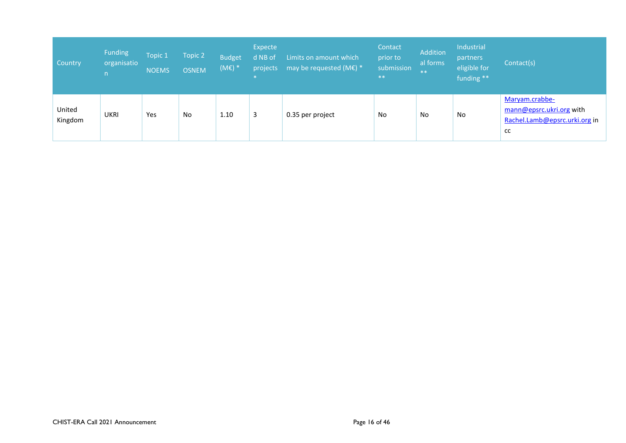| Country           | <b>Funding</b><br>organisatio<br>n. | Topic 1<br><b>NOEMS</b> | Topic 2<br><b>OSNEM</b> | <b>Budget</b><br>$(ME)$ * | Expecte<br>d NB of<br>projects<br>$\star$ | Limits on amount which<br>may be requested (ME) $*$ | Contact<br>prior to<br>submission<br>$***$ | Addition<br>al forms<br>$**$ | Industrial<br>partners<br>eligible for<br>funding ** | Contact(s)                                                                        |
|-------------------|-------------------------------------|-------------------------|-------------------------|---------------------------|-------------------------------------------|-----------------------------------------------------|--------------------------------------------|------------------------------|------------------------------------------------------|-----------------------------------------------------------------------------------|
| United<br>Kingdom | <b>UKRI</b>                         | Yes                     | <b>No</b>               | 1.10                      | 3                                         | 0.35 per project                                    | No                                         | No                           | No                                                   | Maryam.crabbe-<br>mann@epsrc.ukri.org with<br>Rachel.Lamb@epsrc.urki.org in<br>cc |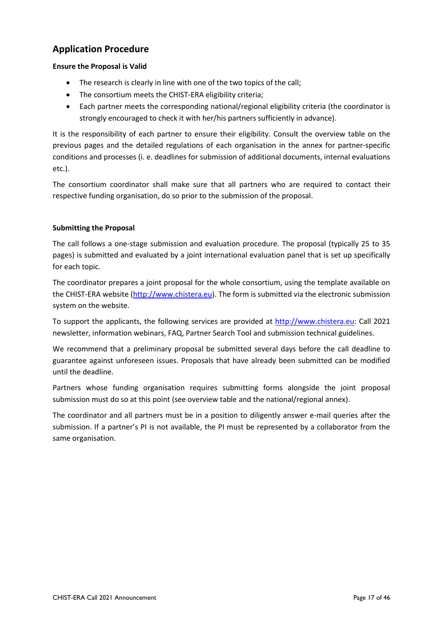## <span id="page-16-0"></span>**Application Procedure**

### **Ensure the Proposal is Valid**

- The research is clearly in line with one of the two topics of the call;
- The consortium meets the CHIST-ERA eligibility criteria;
- Each partner meets the corresponding national/regional eligibility criteria (the coordinator is strongly encouraged to check it with her/his partners sufficiently in advance).

It is the responsibility of each partner to ensure their eligibility. Consult the overview table on the previous pages and the detailed regulations of each organisation in the annex for partner-specific conditions and processes (i. e. deadlines for submission of additional documents, internal evaluations etc.).

The consortium coordinator shall make sure that all partners who are required to contact their respective funding organisation, do so prior to the submission of the proposal.

### **Submitting the Proposal**

The call follows a one-stage submission and evaluation procedure. The proposal (typically 25 to 35 pages) is submitted and evaluated by a joint international evaluation panel that is set up specifically for each topic.

The coordinator prepares a joint proposal for the whole consortium, using the template available on the CHIST-ERA website [\(http://www.chistera.eu\)](http://www.chistera.eu/). The form is submitted via the electronic submission system on the website.

To support the applicants, the following services are provided at [http://www.chistera.eu:](http://www.chistera.eu/) Call 2021 newsletter, information webinars, FAQ, Partner Search Tool and submission technical guidelines.

We recommend that a preliminary proposal be submitted several days before the call deadline to guarantee against unforeseen issues. Proposals that have already been submitted can be modified until the deadline.

Partners whose funding organisation requires submitting forms alongside the joint proposal submission must do so at this point (see overview table and the national/regional annex).

The coordinator and all partners must be in a position to diligently answer e-mail queries after the submission. If a partner's PI is not available, the PI must be represented by a collaborator from the same organisation.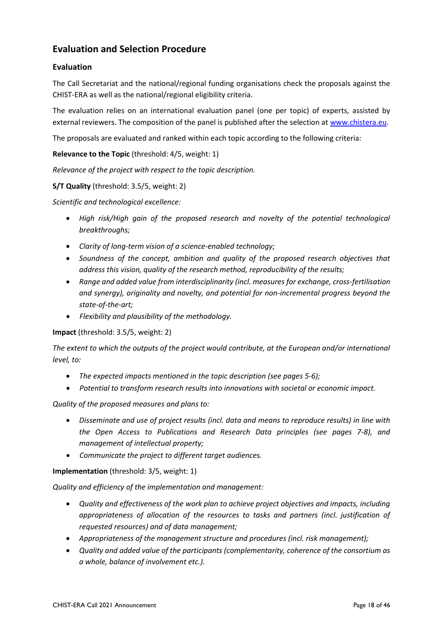## <span id="page-17-0"></span>**Evaluation and Selection Procedure**

## <span id="page-17-1"></span>**Evaluation**

The Call Secretariat and the national/regional funding organisations check the proposals against the CHIST-ERA as well as the national/regional eligibility criteria.

The evaluation relies on an international evaluation panel (one per topic) of experts, assisted by external reviewers. The composition of the panel is published after the selection a[t www.chistera.eu.](http://www.chistera.eu/)

The proposals are evaluated and ranked within each topic according to the following criteria:

### **Relevance to the Topic** (threshold: 4/5, weight: 1)

*Relevance of the project with respect to the topic description.*

### **S/T Quality** (threshold: 3.5/5, weight: 2)

*Scientific and technological excellence:*

- *High risk/High gain of the proposed research and novelty of the potential technological breakthroughs;*
- *Clarity of long-term vision of a science-enabled technology;*
- *Soundness of the concept, ambition and quality of the proposed research objectives that address this vision, quality of the research method, reproducibility of the results;*
- *Range and added value from interdisciplinarity (incl. measures for exchange, cross-fertilisation and synergy), originality and novelty, and potential for non-incremental progress beyond the state-of-the-art;*
- *Flexibility and plausibility of the methodology.*

### **Impact** (threshold: 3.5/5, weight: 2)

*The extent to which the outputs of the project would contribute, at the European and/or international level, to:*

- *The expected impacts mentioned in the topic description (see pages 5-6);*
- *Potential to transform research results into innovations with societal or economic impact.*

### *Quality of the proposed measures and plans to:*

- *Disseminate and use of project results (incl. data and means to reproduce results) in line with the Open Access to Publications and Research Data principles (see pages 7-8), and management of intellectual property;*
- *Communicate the project to different target audiences.*

### **Implementation** (threshold: 3/5, weight: 1)

*Quality and efficiency of the implementation and management:*

- *Quality and effectiveness of the work plan to achieve project objectives and impacts, including appropriateness of allocation of the resources to tasks and partners (incl. justification of requested resources) and of data management;*
- *Appropriateness of the management structure and procedures (incl. risk management);*
- *Quality and added value of the participants (complementarity, coherence of the consortium as a whole, balance of involvement etc.).*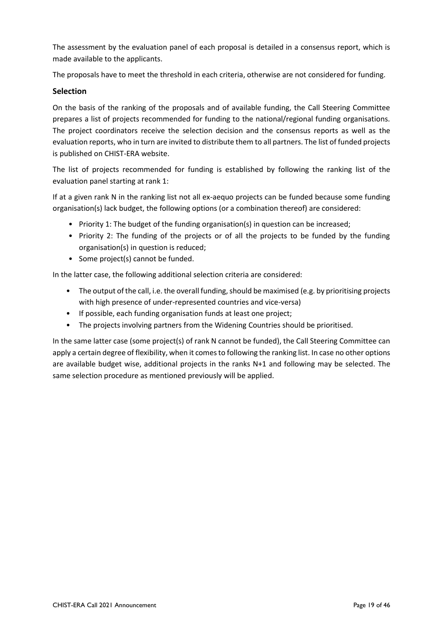The assessment by the evaluation panel of each proposal is detailed in a consensus report, which is made available to the applicants.

The proposals have to meet the threshold in each criteria, otherwise are not considered for funding.

## <span id="page-18-0"></span>**Selection**

On the basis of the ranking of the proposals and of available funding, the Call Steering Committee prepares a list of projects recommended for funding to the national/regional funding organisations. The project coordinators receive the selection decision and the consensus reports as well as the evaluation reports, who in turn are invited to distribute them to all partners. The list of funded projects is published on CHIST-ERA website.

The list of projects recommended for funding is established by following the ranking list of the evaluation panel starting at rank 1:

If at a given rank N in the ranking list not all ex-aequo projects can be funded because some funding organisation(s) lack budget, the following options (or a combination thereof) are considered:

- Priority 1: The budget of the funding organisation(s) in question can be increased;
- Priority 2: The funding of the projects or of all the projects to be funded by the funding organisation(s) in question is reduced;
- Some project(s) cannot be funded.

In the latter case, the following additional selection criteria are considered:

- The output of the call, i.e. the overall funding, should be maximised (e.g. by prioritising projects with high presence of under-represented countries and vice-versa)
- If possible, each funding organisation funds at least one project;
- The projects involving partners from the Widening Countries should be prioritised.

In the same latter case (some project(s) of rank N cannot be funded), the Call Steering Committee can apply a certain degree of flexibility, when it comes to following the ranking list. In case no other options are available budget wise, additional projects in the ranks N+1 and following may be selected. The same selection procedure as mentioned previously will be applied.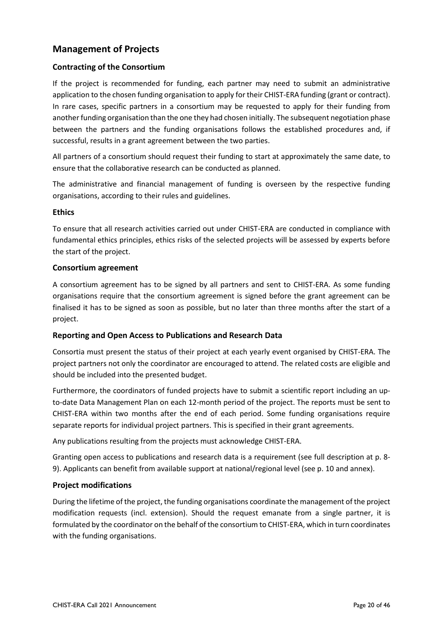## <span id="page-19-0"></span>**Management of Projects**

## <span id="page-19-1"></span>**Contracting of the Consortium**

If the project is recommended for funding, each partner may need to submit an administrative application to the chosen funding organisation to apply for their CHIST-ERA funding (grant or contract). In rare cases, specific partners in a consortium may be requested to apply for their funding from another funding organisation than the one they had chosen initially. The subsequent negotiation phase between the partners and the funding organisations follows the established procedures and, if successful, results in a grant agreement between the two parties.

All partners of a consortium should request their funding to start at approximately the same date, to ensure that the collaborative research can be conducted as planned.

The administrative and financial management of funding is overseen by the respective funding organisations, according to their rules and guidelines.

### <span id="page-19-2"></span>**Ethics**

To ensure that all research activities carried out under CHIST-ERA are conducted in compliance with fundamental ethics principles, ethics risks of the selected projects will be assessed by experts before the start of the project.

### <span id="page-19-3"></span>**Consortium agreement**

A consortium agreement has to be signed by all partners and sent to CHIST-ERA. As some funding organisations require that the consortium agreement is signed before the grant agreement can be finalised it has to be signed as soon as possible, but no later than three months after the start of a project.

## <span id="page-19-4"></span>**Reporting and Open Access to Publications and Research Data**

Consortia must present the status of their project at each yearly event organised by CHIST-ERA. The project partners not only the coordinator are encouraged to attend. The related costs are eligible and should be included into the presented budget.

Furthermore, the coordinators of funded projects have to submit a scientific report including an upto-date Data Management Plan on each 12-month period of the project. The reports must be sent to CHIST-ERA within two months after the end of each period. Some funding organisations require separate reports for individual project partners. This is specified in their grant agreements.

Any publications resulting from the projects must acknowledge CHIST-ERA.

Granting open access to publications and research data is a requirement (see full description at p. 8- 9). Applicants can benefit from available support at national/regional level (see p. 10 and annex).

## <span id="page-19-5"></span>**Project modifications**

During the lifetime of the project, the funding organisations coordinate the management of the project modification requests (incl. extension). Should the request emanate from a single partner, it is formulated by the coordinator on the behalf of the consortium to CHIST-ERA, which in turn coordinates with the funding organisations.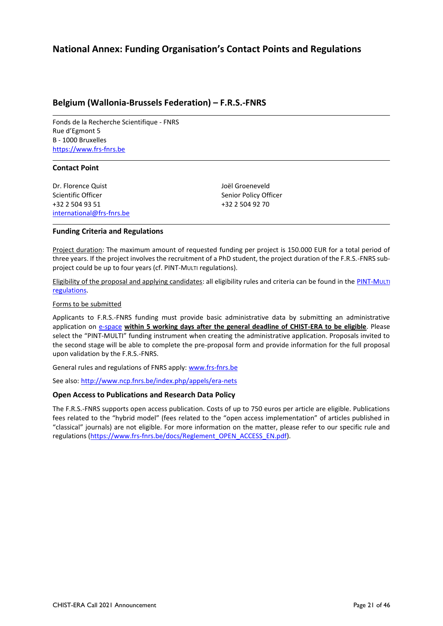## <span id="page-20-0"></span>**National Annex: Funding Organisation's Contact Points and Regulations**

## <span id="page-20-1"></span>**Belgium (Wallonia-Brussels Federation) – F.R.S.-FNRS**

Fonds de la Recherche Scientifique - FNRS Rue d'Egmont 5 B - 1000 Bruxelles [https://www.frs-fnrs.be](https://www.frs-fnrs.be/)

#### **Contact Point**

Dr. Florence Quist Scientific Officer +32 2 504 93 51 [international@frs-fnrs.be](mailto:international@frs-fnrs.be) Joël Groeneveld Senior Policy Officer +32 2 504 92 70

#### **Funding Criteria and Regulations**

Project duration: The maximum amount of requested funding per project is 150.000 EUR for a total period of three years. If the project involves the recruitment of a PhD student, the project duration of the F.R.S.-FNRS subproject could be up to four years (cf. PINT-MULTI regulations).

Eligibility of the proposal and applying candidates: all eligibility rules and criteria can be found in th[e PINT-M](http://www.fnrs.be/docs/Reglement-et-documents/International/FRS-FNRS_PINT-Multi.pdf)ULTI [regulations.](http://www.fnrs.be/docs/Reglement-et-documents/International/FRS-FNRS_PINT-Multi.pdf) 

#### Forms to be submitted

Applicants to F.R.S.-FNRS funding must provide basic administrative data by submitting an administrative application on **e-space within 5 working days after the general deadline of CHIST-ERA to be eligible**. Please select the "PINT-MULTI" funding instrument when creating the administrative application. Proposals invited to the second stage will be able to complete the pre-proposal form and provide information for the full proposal upon validation by the F.R.S.-FNRS.

General rules and regulations of FNRS apply: [www.frs-fnrs.be](http://www.frs-fnrs.be/)

See also: <http://www.ncp.fnrs.be/index.php/appels/era-nets>

#### **Open Access to Publications and Research Data Policy**

The F.R.S.-FNRS supports open access publication. Costs of up to 750 euros per article are eligible. Publications fees related to the "hybrid model" (fees related to the "open access implementation" of articles published in "classical" journals) are not eligible. For more information on the matter, please refer to our specific rule and regulations [\(https://www.frs-fnrs.be/docs/Reglement\\_OPEN\\_ACCESS\\_EN.pdf\)](https://www.frs-fnrs.be/docs/Reglement_OPEN_ACCESS_EN.pdf).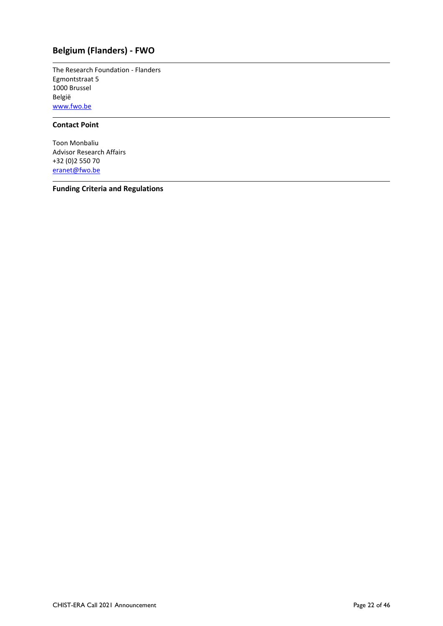## <span id="page-21-0"></span>**Belgium (Flanders) - FWO**

The Research Foundation - Flanders Egmontstraat 5 1000 Brussel België [www.fwo.be](http://www.fwo.be/)

### **Contact Point**

Toon Monbaliu Advisor Research Affairs +32 (0)2 550 70 [eranet@fwo.be](mailto:eranet@fwo.be)

**Funding Criteria and Regulations**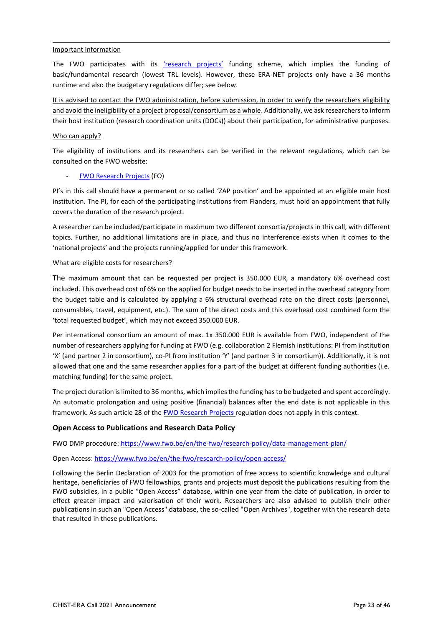#### Important information

The FWO participates with its ['research projects'](https://www.fwo.be/en/fellowships-funding/research-projects/junior-and-senior-research-projects/) funding scheme, which implies the funding of basic/fundamental research (lowest TRL levels). However, these ERA-NET projects only have a 36 months runtime and also the budgetary regulations differ; see below.

It is advised to contact the FWO administration, before submission, in order to verify the researchers eligibility and avoid the ineligibility of a project proposal/consortium as a whole. Additionally, we ask researchers to inform their host institution (research coordination units (DOCs)) about their participation, for administrative purposes.

#### Who can apply?

The eligibility of institutions and its researchers can be verified in the relevant regulations, which can be consulted on the FWO website:

#### - [FWO Research Projects](https://www.fwo.be/en/fellowships-funding/research-projects/junior-and-senior-research-projects/regulations-projects-2019/) (FO)

PI's in this call should have a permanent or so called 'ZAP position' and be appointed at an eligible main host institution. The PI, for each of the participating institutions from Flanders, must hold an appointment that fully covers the duration of the research project.

A researcher can be included/participate in maximum two different consortia/projects in this call, with different topics. Further, no additional limitations are in place, and thus no interference exists when it comes to the 'national projects' and the projects running/applied for under this framework.

#### What are eligible costs for researchers?

The maximum amount that can be requested per project is 350.000 EUR, a mandatory 6% overhead cost included. This overhead cost of 6% on the applied for budget needs to be inserted in the overhead category from the budget table and is calculated by applying a 6% structural overhead rate on the direct costs (personnel, consumables, travel, equipment, etc.). The sum of the direct costs and this overhead cost combined form the 'total requested budget', which may not exceed 350.000 EUR.

Per international consortium an amount of max. 1x 350.000 EUR is available from FWO, independent of the number of researchers applying for funding at FWO (e.g. collaboration 2 Flemish institutions: PI from institution 'X' (and partner 2 in consortium), co-PI from institution 'Y' (and partner 3 in consortium)). Additionally, it is not allowed that one and the same researcher applies for a part of the budget at different funding authorities (i.e. matching funding) for the same project.

The project duration is limited to 36 months, which implies the funding has to be budgeted and spent accordingly. An automatic prolongation and using positive (financial) balances after the end date is not applicable in this framework. As such article 28 of the [FWO Research Projects](https://www.fwo.be/en/fellowships-funding/research-projects/junior-and-senior-research-projects/regulations-projects-2019/) regulation does not apply in this context.

### **Open Access to Publications and Research Data Policy**

FWO DMP procedure: https://www.fwo.be/en/the-fwo/research-policy/data-management-plan/

### Open Access: https://www.fwo.be/en/the-fwo/research-policy/open-access/

Following the Berlin Declaration of 2003 for the promotion of free access to scientific knowledge and cultural heritage, beneficiaries of FWO fellowships, grants and projects must deposit the publications resulting from the FWO subsidies, in a public "Open Access" database, within one year from the date of publication, in order to effect greater impact and valorisation of their work. Researchers are also advised to publish their other publications in such an "Open Access" database, the so-called "Open Archives", together with the research data that resulted in these publications.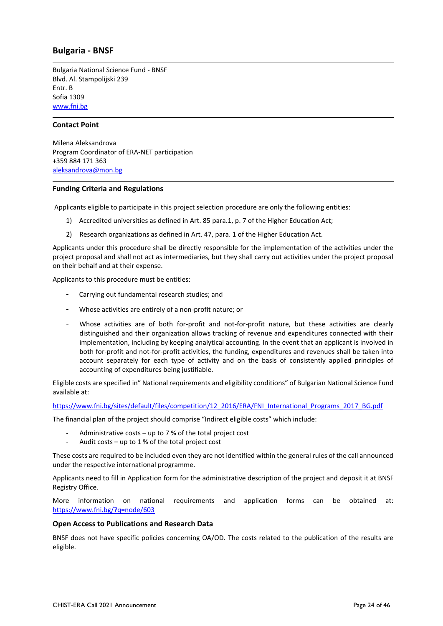## <span id="page-23-0"></span>**Bulgaria - BNSF**

Bulgaria National Science Fund - BNSF Blvd. Al. Stampolijski 239 Entr. B Sofia 1309 [www.fni.bg](http://www.fni.bg/)

#### **Contact Point**

Milena Aleksandrova Program Coordinator of ERA-NET participation +359 884 171 363 [aleksandrova@mon.bg](mailto:aleksandrova@mon.bg)

#### **Funding Criteria and Regulations**

Applicants eligible to participate in this project selection procedure are only the following entities:

- 1) Accredited universities as defined in Art. 85 para.1, p. 7 of the Higher Education Act;
- 2) Research organizations as defined in Art. 47, para. 1 of the Higher Education Act.

Applicants under this procedure shall be directly responsible for the implementation of the activities under the project proposal and shall not act as intermediaries, but they shall carry out activities under the project proposal on their behalf and at their expense.

Applicants to this procedure must be entities:

- Carrying out fundamental research studies; and
- Whose activities are entirely of a non-profit nature; or
- Whose activities are of both for-profit and not-for-profit nature, but these activities are clearly distinguished and their organization allows tracking of revenue and expenditures connected with their implementation, including by keeping analytical accounting. In the event that an applicant is involved in both for-profit and not-for-profit activities, the funding, expenditures and revenues shall be taken into account separately for each type of activity and on the basis of consistently applied principles of accounting of expenditures being justifiable.

Eligible costs are specified in" National requirements and eligibility conditions" of Bulgarian National Science Fund available at:

[https://www.fni.bg/sites/default/files/competition/12\\_2016/ERA/FNI\\_International\\_Programs\\_2017\\_BG.pdf](https://www.fni.bg/sites/default/files/competition/12_2016/ERA/FNI_International_Programs_2017_BG.pdf)

The financial plan of the project should comprise "Indirect eligible costs" which include:

- Administrative costs up to 7 % of the total project cost
- Audit costs up to  $1\%$  of the total project cost

These costs are required to be included even they are not identified within the general rules of the call announced under the respective international programme.

Applicants need to fill in Application form for the administrative description of the project and deposit it at BNSF Registry Office.

More information on national requirements and application forms can be obtained at: <https://www.fni.bg/?q=node/603>

#### **Open Access to Publications and Research Data**

BNSF does not have specific policies concerning OA/OD. The costs related to the publication of the results are eligible.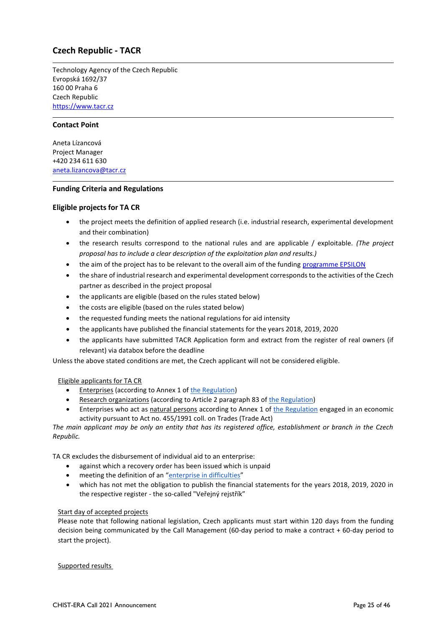## <span id="page-24-0"></span>**Czech Republic - TACR**

Technology Agency of the Czech Republic Evropská 1692/37 160 00 Praha 6 Czech Republic [https://www.tacr.cz](https://www.tacr.cz/)

#### **Contact Point**

Aneta Lízancová Project Manager +420 234 611 630 [aneta.lizancova@tacr.cz](mailto:aneta.lizancova@tacr.cz)

#### **Funding Criteria and Regulations**

#### **Eligible projects for TA CR**

- the project meets the definition of applied research (i.e. industrial research, experimental development and their combination)
- the research results correspond to the national rules and are applicable / exploitable. *(The project proposal has to include a clear description of the exploitation plan and results.)*
- the aim of the project has to be relevant to the overall aim of the fundin[g programme EPSILON](https://www.tacr.cz/wp-content/uploads/documents/2020/07/31/1596195054_Program%20EPSILON%20-%20v%20%C3%BA%C4%8Dinnosti%20od%2027-7-2020.pdf)
- the share of industrial research and experimental development corresponds to the activities of the Czech partner as described in the project proposal
- the applicants are eligible (based on the rules stated below)
- the costs are eligible (based on the rules stated below)
- the requested funding meets the national regulations for aid intensity
- the applicants have published the financial statements for the years 2018, 2019, 2020
- the applicants have submitted TACR Application form and extract from the register of real owners (if relevant) via databox before the deadline

Unless the above stated conditions are met, the Czech applicant will not be considered eligible.

#### Eligible applicants for TA CR

- Enterprises (according to Annex 1 of [the Regulation\)](http://eur-lex.europa.eu/legal-content/EN/TXT/?uri=CELEX:32014R0651)
- Research organizations (according to Article 2 paragraph 83 o[f the Regulation\)](https://eur-lex.europa.eu/legal-content/EN/TXT/?uri=CELEX:32014R0651)
- Enterprises who act as natural persons according to Annex 1 of [the Regulation](https://eur-lex.europa.eu/legal-content/EN/TXT/?uri=CELEX:32014R0651) engaged in an economic activity pursuant to Act no. 455/1991 coll. on Trades (Trade Act)

*The main applicant may be only an entity that has its registered office, establishment or branch in the Czech Republic.*

TA CR excludes the disbursement of individual aid to an enterprise:

- against which a recovery order has been issued which is unpaid
- meeting the definition of an "[enterprise in difficulties](https://tacr.cz/dokums_raw/cofundy/Podnik_v_obtizich.pdf)"
- which has not met the obligation to publish the financial statements for the years 2018, 2019, 2020 in the respective register - the so-called "Veřejný rejstřík"

#### Start day of accepted projects

Please note that following national legislation, Czech applicants must start within 120 days from the funding decision being communicated by the Call Management (60-day period to make a contract + 60-day period to start the project).

Supported results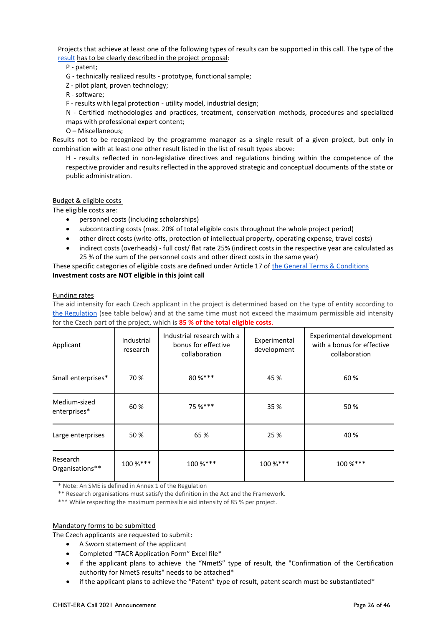Projects that achieve at least one of the following types of results can be supported in this call. The type of the [result](http://tacr.cz/dokums_raw/projekty/definice_druhu_vysledku.pdf) has to be clearly described in the project proposal:

#### P - patent;

- G technically realized results prototype, functional sample;
- Z pilot plant, proven technology;
- R software;
- F results with legal protection utility model, industrial design;

N - Certified methodologies and practices, treatment, conservation methods, procedures and specialized maps with professional expert content;

O – Miscellaneous;

Results not to be recognized by the programme manager as a single result of a given project, but only in combination with at least one other result listed in the list of result types above:

H - results reflected in non-legislative directives and regulations binding within the competence of the respective provider and results reflected in the approved strategic and conceptual documents of the state or public administration.

#### Budget & eligible costs

The eligible costs are:

- personnel costs (including scholarships)
- subcontracting costs (max. 20% of total eligible costs throughout the whole project period)
- other direct costs (write-offs, protection of intellectual property, operating expense, travel costs)
- indirect costs (overheads) full cost/ flat rate 25% (indirect costs in the respective year are calculated as 25 % of the sum of the personnel costs and other direct costs in the same year)

These specific categories of eligible costs are defined under Article 17 o[f the General Terms & Conditions](https://www.tacr.cz/dokums_raw/trend/PP1/1VS/Vseobecne_podminky_v6.pdf) **Investment costs are NOT eligible in this joint call**

#### Funding rates

The aid intensity for each Czech applicant in the project is determined based on the type of entity according to [the Regulation](https://eur-lex.europa.eu/legal-content/EN/TXT/?uri=CELEX:32014R0651) (see table below) and at the same time must not exceed the maximum permissible aid intensity for the Czech part of the project, which is **85 % of the total eligible costs**.

| Applicant                    | Industrial<br>research | Industrial research with a<br>bonus for effective<br>collaboration | Experimental<br>development | Experimental development<br>with a bonus for effective<br>collaboration |
|------------------------------|------------------------|--------------------------------------------------------------------|-----------------------------|-------------------------------------------------------------------------|
| Small enterprises*           | 70 %                   | $80 \%$ ***                                                        | 45 %                        | 60%                                                                     |
| Medium-sized<br>enterprises* | 60%                    | 75 %***                                                            | 35 %                        | 50%                                                                     |
| Large enterprises            | 50 %                   | 65 %                                                               | 25 %                        | 40 %                                                                    |
| Research<br>Organisations**  | 100 %***               | 100 %***                                                           | 100 %***                    | 100 %***                                                                |

\* Note: An SME is defined in Annex 1 of the Regulation

\*\* Research organisations must satisfy the definition in the Act and the Framework.

\*\*\* While respecting the maximum permissible aid intensity of 85 % per project.

#### Mandatory forms to be submitted

The Czech applicants are requested to submit:

- A Sworn statement of the applicant
- Completed "TACR Application Form" Excel file\*
- if the applicant plans to achieve the "NmetS" type of result, the "Confirmation of the Certification authority for NmetS results" needs to be attached\*
- if the applicant plans to achieve the "Patent" type of result, patent search must be substantiated\*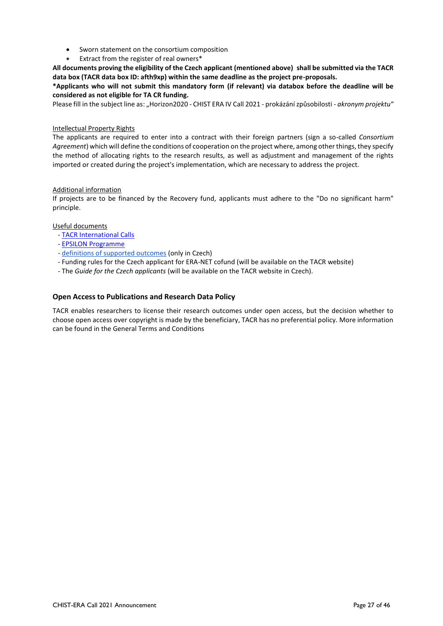- Sworn statement on the consortium composition
- Extract from the register of real owners\*

**All documents proving the eligibility of the Czech applicant (mentioned above) shall be submitted via the TACR data box (TACR data box ID: afth9xp) within the same deadline as the project pre-proposals.**

**\*Applicants who will not submit this mandatory form (if relevant) via databox before the deadline will be considered as not eligible for TA CR funding.**

Please fill in the subject line as: "Horizon2020 - CHIST ERA IV Call 2021 - prokázání způsobilosti - *akronym projektu*"

#### Intellectual Property Rights

The applicants are required to enter into a contract with their foreign partners (sign a so-called *Consortium Agreement*) which will define the conditions of cooperation on the project where, among other things, they specify the method of allocating rights to the research results, as well as adjustment and management of the rights imported or created during the project's implementation, which are necessary to address the project.

#### Additional information

If projects are to be financed by the Recovery fund, applicants must adhere to the "Do no significant harm" principle.

#### Useful documents

- [TACR International Calls](https://www.tacr.cz/mezinarodni-spoluprace/)
- [EPSILON Programme](https://www.tacr.cz/wp-content/uploads/documents/2020/07/31/1596195054_Program%20EPSILON%20-%20v%20%C3%BA%C4%8Dinnosti%20od%2027-7-2020.pdf)
- [definitions of supported outcomes](http://tacr.cz/dokums_raw/projekty/definice_druhu_vysledku.pdf) (only in Czech)
- Funding rules for the Czech applicant for ERA-NET cofund (will be available on the TACR website)
- The *Guide for the Czech applicants* (will be available on the TACR website in Czech).

#### **Open Access to Publications and Research Data Policy**

TACR enables researchers to license their research outcomes under open access, but the decision whether to choose open access over copyright is made by the beneficiary, TACR has no preferential policy. More information can be found in the General Terms and Conditions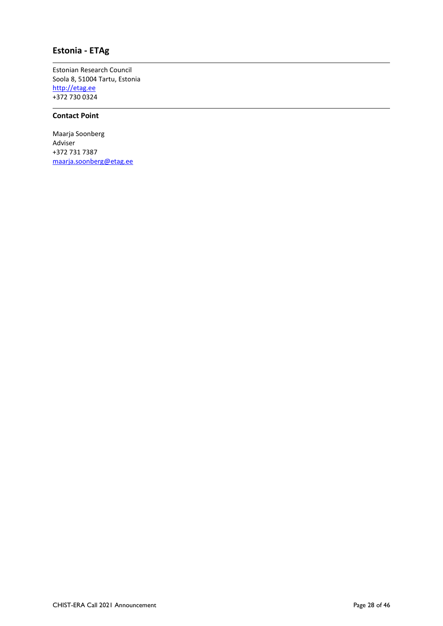## <span id="page-27-0"></span>**Estonia - ETAg**

Estonian Research Council Soola 8, 51004 Tartu, Estonia [http://etag.ee](http://etag.ee/) +372 730 0324

#### **Contact Point**

Maarja Soonberg Adviser +372 731 7387 [maarja.soonberg@](mailto:maarja.soonberg)etag.ee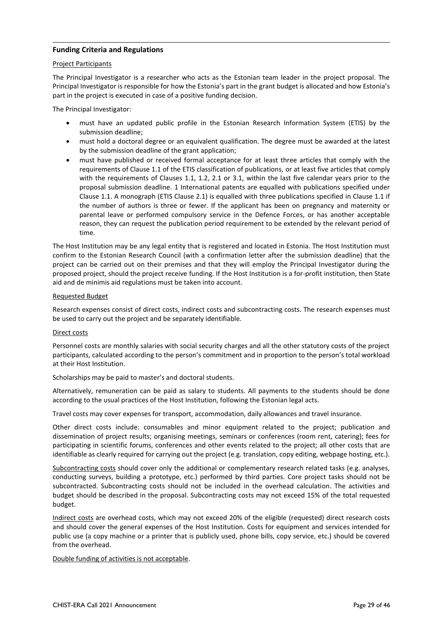#### **Funding Criteria and Regulations**

#### Project Participants

The Principal Investigator is a researcher who acts as the Estonian team leader in the project proposal. The Principal Investigator is responsible for how the Estonia's part in the grant budget is allocated and how Estonia's part in the project is executed in case of a positive funding decision.

The Principal Investigator:

- must have an updated public profile in the Estonian Research Information System (ETIS) by the submission deadline;
- must hold a doctoral degree or an equivalent qualification. The degree must be awarded at the latest by the submission deadline of the grant application;
- must have published or received formal acceptance for at least three articles that comply with the requirements of Clause 1.1 of the ETIS classification of publications, or at least five articles that comply with the requirements of Clauses 1.1, 1.2, 2.1 or 3.1, within the last five calendar years prior to the proposal submission deadline. 1 International patents are equalled with publications specified under Clause 1.1. A monograph (ETIS Clause 2.1) is equalled with three publications specified in Clause 1.1 if the number of authors is three or fewer. If the applicant has been on pregnancy and maternity or parental leave or performed compulsory service in the Defence Forces, or has another acceptable reason, they can request the publication period requirement to be extended by the relevant period of time.

The Host Institution may be any legal entity that is registered and located in Estonia. The Host Institution must confirm to the Estonian Research Council (with a confirmation letter after the submission deadline) that the project can be carried out on their premises and that they will employ the Principal Investigator during the proposed project, should the project receive funding. If the Host Institution is a for-profit institution, then State aid and de minimis aid regulations must be taken into account.

#### Requested Budget

Research expenses consist of direct costs, indirect costs and subcontracting costs. The research expenses must be used to carry out the project and be separately identifiable.

#### Direct costs

Personnel costs are monthly salaries with social security charges and all the other statutory costs of the project participants, calculated according to the person's commitment and in proportion to the person's total workload at their Host Institution.

Scholarships may be paid to master's and doctoral students.

Alternatively, remuneration can be paid as salary to students. All payments to the students should be done according to the usual practices of the Host Institution, following the Estonian legal acts.

Travel costs may cover expenses for transport, accommodation, daily allowances and travel insurance.

Other direct costs include: consumables and minor equipment related to the project; publication and dissemination of project results; organising meetings, seminars or conferences (room rent, catering); fees for participating in scientific forums, conferences and other events related to the project; all other costs that are identifiable as clearly required for carrying out the project (e.g. translation, copy editing, webpage hosting, etc.).

Subcontracting costs should cover only the additional or complementary research related tasks (e.g. analyses, conducting surveys, building a prototype, etc.) performed by third parties. Core project tasks should not be subcontracted. Subcontracting costs should not be included in the overhead calculation. The activities and budget should be described in the proposal. Subcontracting costs may not exceed 15% of the total requested budget.

Indirect costs are overhead costs, which may not exceed 20% of the eligible (requested) direct research costs and should cover the general expenses of the Host Institution. Costs for equipment and services intended for public use (a copy machine or a printer that is publicly used, phone bills, copy service, etc.) should be covered from the overhead.

#### Double funding of activities is not acceptable.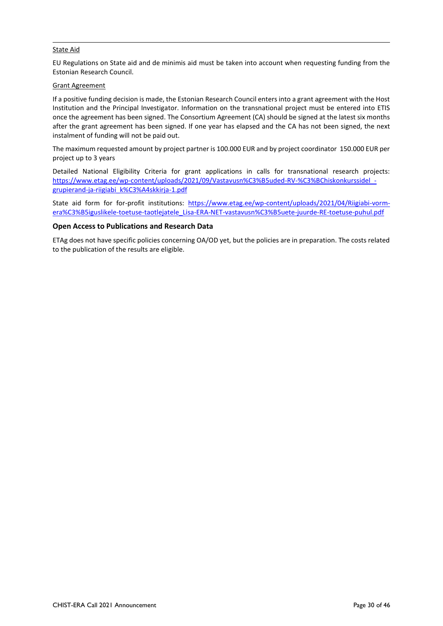#### State Aid

EU Regulations on State aid and de minimis aid must be taken into account when requesting funding from the Estonian Research Council.

#### Grant Agreement

If a positive funding decision is made, the Estonian Research Council enters into a grant agreement with the Host Institution and the Principal Investigator. Information on the transnational project must be entered into ETIS once the agreement has been signed. The Consortium Agreement (CA) should be signed at the latest six months after the grant agreement has been signed. If one year has elapsed and the CA has not been signed, the next instalment of funding will not be paid out.

The maximum requested amount by project partner is 100.000 EUR and by project coordinator 150.000 EUR per project up to 3 years

Detailed National Eligibility Criteria for grant applications in calls for transnational research projects: https://www.etag.ee/wp-content/uploads/2021/09/Vastavusn%C3%B5uded-RV-%C3%BChiskonkurssidel [grupierand-ja-riigiabi\\_k%C3%A4skkirja-1.pdf](https://www.etag.ee/wp-content/uploads/2021/09/Vastavusn%C3%B5uded-RV-%C3%BChiskonkurssidel_-grupierand-ja-riigiabi_k%C3%A4skkirja-1.pdf)

State aid form for for-profit institutions: [https://www.etag.ee/wp-content/uploads/2021/04/Riigiabi-vorm](https://www.etag.ee/wp-content/uploads/2021/04/Riigiabi-vorm-era%C3%B5iguslikele-toetuse-taotlejatele_Lisa-ERA-NET-vastavusn%C3%B5uete-juurde-RE-toetuse-puhul.pdf)[era%C3%B5iguslikele-toetuse-taotlejatele\\_Lisa-ERA-NET-vastavusn%C3%B5uete-juurde-RE-toetuse-puhul.pdf](https://www.etag.ee/wp-content/uploads/2021/04/Riigiabi-vorm-era%C3%B5iguslikele-toetuse-taotlejatele_Lisa-ERA-NET-vastavusn%C3%B5uete-juurde-RE-toetuse-puhul.pdf)

#### **Open Access to Publications and Research Data**

ETAg does not have specific policies concerning OA/OD yet, but the policies are in preparation. The costs related to the publication of the results are eligible.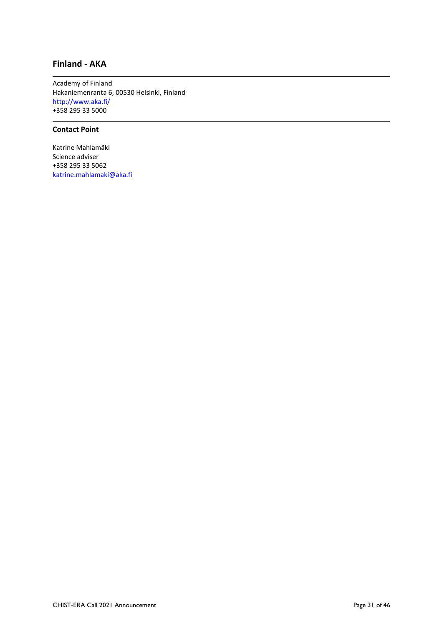## <span id="page-30-0"></span>**Finland - AKA**

Academy of Finland Hakaniemenranta 6, 00530 Helsinki, Finland <http://www.aka.fi/> +358 295 33 5000

### **Contact Point**

Katrine Mahlamäki Science adviser +358 295 33 5062 [katrine.mahlamaki@aka.fi](mailto:katrine.mahlamaki@aka.fi)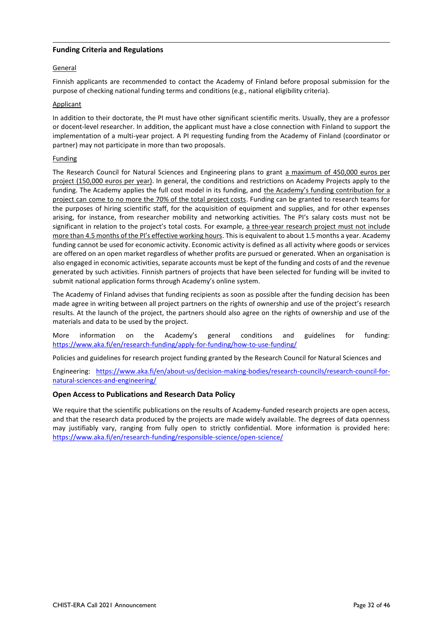#### **Funding Criteria and Regulations**

#### General

Finnish applicants are recommended to contact the Academy of Finland before proposal submission for the purpose of checking national funding terms and conditions (e.g., national eligibility criteria).

#### **Applicant**

In addition to their doctorate, the PI must have other significant scientific merits. Usually, they are a professor or docent-level researcher. In addition, the applicant must have a close connection with Finland to support the implementation of a multi-year project. A PI requesting funding from the Academy of Finland (coordinator or partner) may not participate in more than two proposals.

#### Funding

The Research Council for Natural Sciences and Engineering plans to grant a maximum of 450,000 euros per project (150,000 euros per year). In general, the conditions and restrictions on Academy Projects apply to the funding. The Academy applies the full cost model in its funding, and the Academy's funding contribution for a project can come to no more the 70% of the total project costs. Funding can be granted to research teams for the purposes of hiring scientific staff, for the acquisition of equipment and supplies, and for other expenses arising, for instance, from researcher mobility and networking activities. The PI's salary costs must not be significant in relation to the project's total costs. For example, a three-year research project must not include more than 4.5 months of the PI's effective working hours. This is equivalent to about 1.5 months a year. Academy funding cannot be used for economic activity. Economic activity is defined as all activity where goods or services are offered on an open market regardless of whether profits are pursued or generated. When an organisation is also engaged in economic activities, separate accounts must be kept of the funding and costs of and the revenue generated by such activities. Finnish partners of projects that have been selected for funding will be invited to submit national application forms through Academy's online system.

The Academy of Finland advises that funding recipients as soon as possible after the funding decision has been made agree in writing between all project partners on the rights of ownership and use of the project's research results. At the launch of the project, the partners should also agree on the rights of ownership and use of the materials and data to be used by the project.

More information on the Academy's general conditions and guidelines for funding: <https://www.aka.fi/en/research-funding/apply-for-funding/how-to-use-funding/>

Policies and guidelines for research project funding granted by the Research Council for Natural Sciences and

Engineering: [https://www.aka.fi/en/about-us/decision-making-bodies/research-councils/research-council-for](https://www.aka.fi/en/about-us/decision-making-bodies/research-councils/research-council-for-natural-sciences-and-engineering/)[natural-sciences-and-engineering/](https://www.aka.fi/en/about-us/decision-making-bodies/research-councils/research-council-for-natural-sciences-and-engineering/)

#### **Open Access to Publications and Research Data Policy**

We require that the scientific publications on the results of Academy-funded research projects are open access, and that the research data produced by the projects are made widely available. The degrees of data openness may justifiably vary, ranging from fully open to strictly confidential. More information is provided here: <https://www.aka.fi/en/research-funding/responsible-science/open-science/>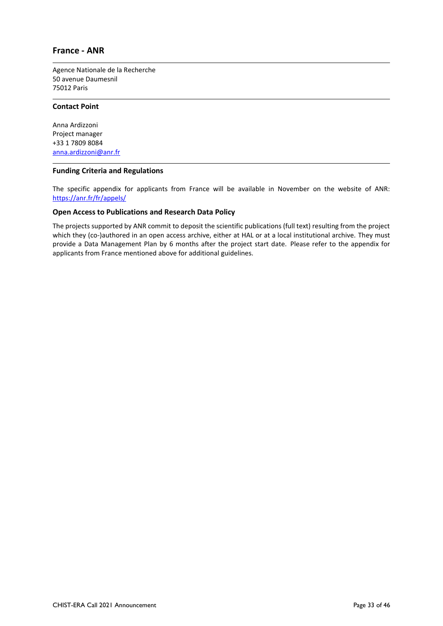### <span id="page-32-0"></span>**France - ANR**

Agence Nationale de la Recherche 50 avenue Daumesnil 75012 Paris

#### **Contact Point**

Anna Ardizzoni Project manager +33 1 7809 8084 [anna.ardizzoni@anr.fr](mailto:anna.ardizzoni@anr.fr)

#### **Funding Criteria and Regulations**

The specific appendix for applicants from France will be available in November on the website of ANR: <https://anr.fr/fr/appels/>

#### **Open Access to Publications and Research Data Policy**

The projects supported by ANR commit to deposit the scientific publications (full text) resulting from the project which they (co-)authored in an open access archive, either at HAL or at a local institutional archive. They must provide a Data Management Plan by 6 months after the project start date. Please refer to the appendix for applicants from France mentioned above for additional guidelines.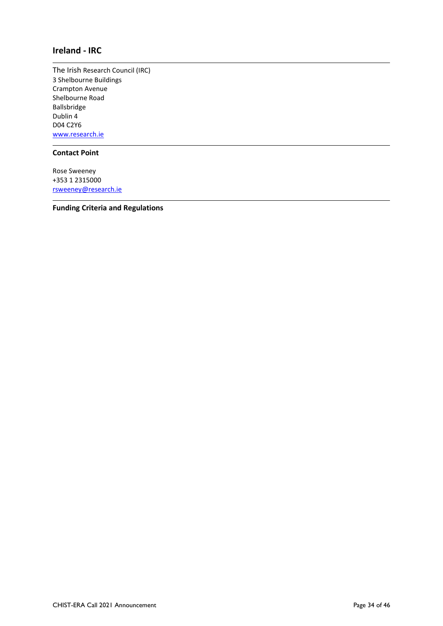## <span id="page-33-0"></span>**Ireland - IRC**

The Irish Research Council (IRC) 3 Shelbourne Buildings Crampton Avenue Shelbourne Road Ballsbridge Dublin 4 D04 C2Y6 [www.research.ie](http://www.research.ie/)

### **Contact Point**

Rose Sweeney +353 1 2315000 [rsweeney@research.ie](mailto:rsweeney@research.ie)

**Funding Criteria and Regulations**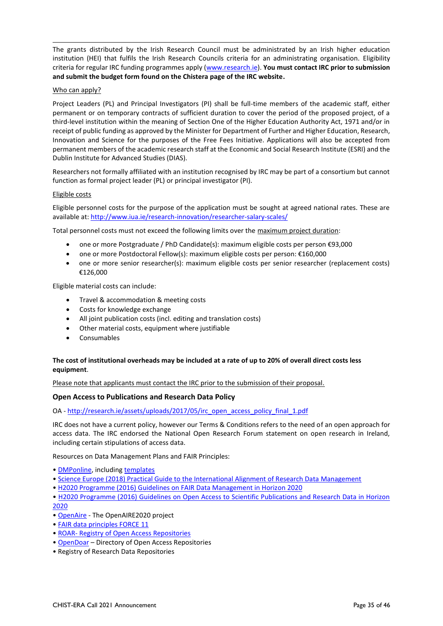The grants distributed by the Irish Research Council must be administrated by an Irish higher education institution (HEI) that fulfils the Irish Research Councils criteria for an administrating organisation. Eligibility criteria for regular IRC funding programmes apply [\(www.research.ie\)](http://www.research.ie/). **You must contact IRC prior to submission and submit the budget form found on the Chistera page of the IRC website.**

#### Who can apply?

Project Leaders (PL) and Principal Investigators (PI) shall be full-time members of the academic staff, either permanent or on temporary contracts of sufficient duration to cover the period of the proposed project, of a third-level institution within the meaning of Section One of the Higher Education Authority Act, 1971 and/or in receipt of public funding as approved by the Minister for Department of Further and Higher Education, Research, Innovation and Science for the purposes of the Free Fees Initiative. Applications will also be accepted from permanent members of the academic research staff at the Economic and Social Research Institute (ESRI) and the Dublin Institute for Advanced Studies (DIAS).

Researchers not formally affiliated with an institution recognised by IRC may be part of a consortium but cannot function as formal project leader (PL) or principal investigator (PI).

#### Eligible costs

Eligible personnel costs for the purpose of the application must be sought at agreed national rates. These are available at: http://www.iua.ie/research-innovation/researcher-salary-scales/

Total personnel costs must not exceed the following limits over the maximum project duration:

- one or more Postgraduate / PhD Candidate(s): maximum eligible costs per person €93,000
- one or more Postdoctoral Fellow(s): maximum eligible costs per person: €160,000
- one or more senior researcher(s): maximum eligible costs per senior researcher (replacement costs) €126,000

Eligible material costs can include:

- Travel & accommodation & meeting costs
- Costs for knowledge exchange
- All joint publication costs (incl. editing and translation costs)
- Other material costs, equipment where justifiable
- Consumables

#### **The cost of institutional overheads may be included at a rate of up to 20% of overall direct costs less equipment**.

Please note that applicants must contact the IRC prior to the submission of their proposal.

#### **Open Access to Publications and Research Data Policy**

OA - [http://research.ie/assets/uploads/2017/05/irc\\_open\\_access\\_policy\\_final\\_1.pdf](http://research.ie/assets/uploads/2017/05/irc_open_access_policy_final_1.pdf)

IRC does not have a current policy, however our Terms & Conditions refers to the need of an open approach for access data. The IRC endorsed the National Open Research Forum statement on open research in Ireland, including certain stipulations of access data.

Resources on Data Management Plans and FAIR Principles:

- [DMPonline,](https://dmponline.dcc.ac.uk/) including [templates](https://dmponline.dcc.ac.uk/public_templates)
- [Science Europe \(2018\) Practical Guide to the International Alignment of Research Data Management](https://www.scienceeurope.org/wp-content/uploads/2018/12/SE_RDM_Practical_Guide_Final.pdf)
- [H2020 Programme \(2016\) Guidelines on FAIR Data Management in Horizon 2020](http://ec.europa.eu/research/participants/data/ref/h2020/grants_manual/hi/oa_pilot/h2020-hi-oa-data-mgt_en.pdf)
- [H2020 Programme \(2016\) Guidelines on Open Access to Scientific Publications and Research Data in Horizon](https://ec.europa.eu/research/participants/data/ref/h2020/grants_manual/hi/oa_pilot/h2020-hi-oa-pilot-guide_en.pdf)  [2020](https://ec.europa.eu/research/participants/data/ref/h2020/grants_manual/hi/oa_pilot/h2020-hi-oa-pilot-guide_en.pdf)
- [OpenAire](https://www.openaire.eu/) The OpenAIRE2020 project
- [FAIR data principles FORCE 11](https://www.force11.org/group/fairgroup/fairprinciples)
- ROAR- [Registry of Open Access Repositories](http://roar.eprints.org/)
- [OpenDoar](http://v2.sherpa.ac.uk/opendoar/) Directory of Open Access Repositories
- Registry of Research Data Repositories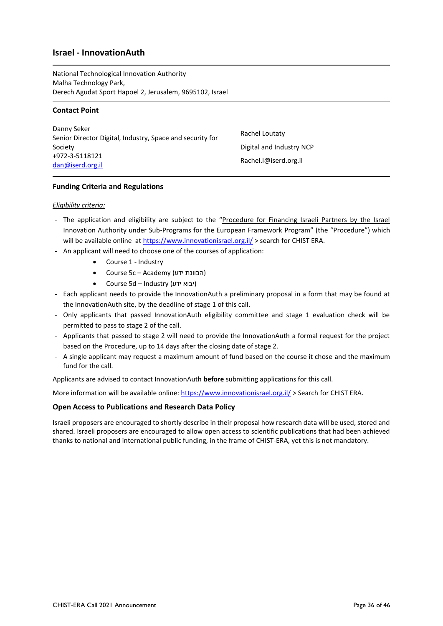## <span id="page-35-0"></span>**Israel - InnovationAuth**

National Technological Innovation Authority Malha Technology Park, Derech Agudat Sport Hapoel 2, Jerusalem, 9695102, Israel

#### **Contact Point**

Danny Seker Senior Director Digital, Industry, Space and security for Society +972-3-5118121 [dan@iserd.org.il](mailto:nir.s@iserd.org.il)

Rachel Loutaty Digital and Industry NCP Rachel.l@iserd.org.il

#### **Funding Criteria and Regulations**

#### *Eligibility criteria:*

- The application and eligibility are subject to the "Procedure for Financing Israeli Partners by the Israel Innovation Authority under Sub-Programs for the European Framework Program" (the "Procedure") which will be available online at<https://www.innovationisrael.org.il/> > search for CHIST ERA.
- An applicant will need to choose one of the courses of application:
	- Course 1 Industry
	- Course 5c Academy (הכוונת ידע)
	- Course 5d Industry (ידע יבוא(
- Each applicant needs to provide the InnovationAuth a preliminary proposal in a form that may be found at the InnovationAuth site, by the deadline of stage 1 of this call.
- Only applicants that passed InnovationAuth eligibility committee and stage 1 evaluation check will be permitted to pass to stage 2 of the call.
- Applicants that passed to stage 2 will need to provide the InnovationAuth a formal request for the project based on the Procedure, up to 14 days after the closing date of stage 2.
- A single applicant may request a maximum amount of fund based on the course it chose and the maximum fund for the call.

Applicants are advised to contact InnovationAuth **before** submitting applications for this call.

More information will be available online:<https://www.innovationisrael.org.il/> > Search for CHIST ERA.

#### **Open Access to Publications and Research Data Policy**

Israeli proposers are encouraged to shortly describe in their proposal how research data will be used, stored and shared. Israeli proposers are encouraged to allow open access to scientific publications that had been achieved thanks to national and international public funding, in the frame of CHIST-ERA, yet this is not mandatory.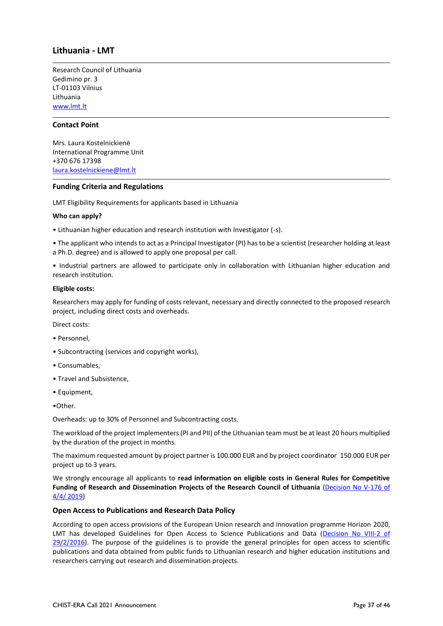## <span id="page-36-0"></span>**Lithuania - LMT**

Research Council of Lithuania Gedimino pr. 3 LT-01103 Vilnius Lithuania [www.lmt.lt](http://www.lmt.lt/)

#### **Contact Point**

Mrs. Laura Kostelnickienė International Programme Unit +370 676 17398 [laura.kostelnickiene@lmt.lt](mailto:laura.kostelnickiene@lmt.lt)

#### **Funding Criteria and Regulations**

LMT Eligibility Requirements for applicants based in Lithuania

#### **Who can apply?**

• Lithuanian higher education and research institution with Investigator (-s).

• The applicant who intends to act as a Principal Investigator (PI) has to be a scientist (researcher holding at least a Ph.D. degree) and is allowed to apply one proposal per call.

• Industrial partners are allowed to participate only in collaboration with Lithuanian higher education and research institution.

#### **Eligible costs:**

Researchers may apply for funding of costs relevant, necessary and directly connected to the proposed research project, including direct costs and overheads.

Direct costs:

- Personnel,
- Subcontracting (services and copyright works),
- Consumables,
- Travel and Subsistence,
- Equipment,

•Other.

Overheads: up to 30% of Personnel and Subcontracting costs.

The workload of the project implementers (PI and PII) of the Lithuanian team must be at least 20 hours multiplied by the duration of the project in months.

The maximum requested amount by project partner is 100.000 EUR and by project coordinator 150.000 EUR per project up to 3 years.

We strongly encourage all applicants to **read information on eligible costs in General Rules for Competitive**  Funding of Research and Dissemination Projects of the Research Council of Lithuania (Decision No V-176 of [4/4/ 2019\)](https://www.e-tar.lt/portal/lt/legalAct/0a8bead0577611e9975f9c35aedfe438/asr)

#### **Open Access to Publications and Research Data Policy**

According to open access provisions of the European Union research and innovation programme Horizon 2020, LMT has developed Guidelines for Open Access to Science Publications and Data [\(Decision No VIII-2 of](https://www.lmt.lt/data/public/uploads/2016/09/eng_-atvira-prieiga-_-galutinis.pdf)  [29/2/2016\)](https://www.lmt.lt/data/public/uploads/2016/09/eng_-atvira-prieiga-_-galutinis.pdf). The purpose of the guidelines is to provide the general principles for open access to scientific publications and data obtained from public funds to Lithuanian research and higher education institutions and researchers carrying out research and dissemination projects.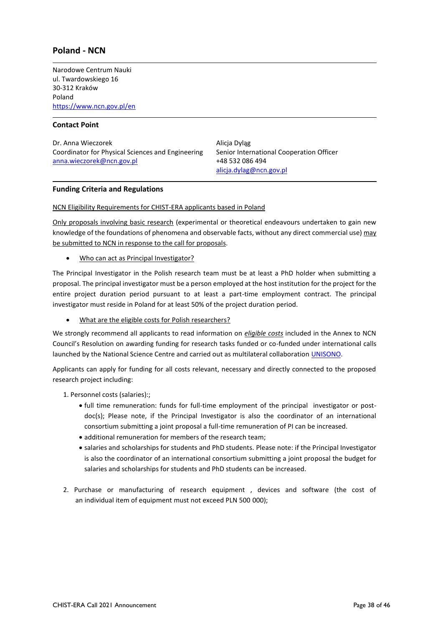## <span id="page-37-0"></span>**Poland - NCN**

Narodowe Centrum Nauki ul. Twardowskiego 16 30-312 Kraków Poland <https://www.ncn.gov.pl/en>

#### **Contact Point**

Dr. Anna Wieczorek Coordinator for Physical Sciences and Engineering [anna.wieczorek@ncn.gov.pl](mailto:jakub.gadek@ncn.gov.pl)

Alicja Dyląg Senior International Cooperation Officer +48 532 086 494 [alicja.dylag@ncn.gov.pl](mailto:alicja.dylag@ncn.gov.pl)

#### **Funding Criteria and Regulations**

NCN Eligibility Requirements for CHIST-ERA applicants based in Poland

Only proposals involving basic research (experimental or theoretical endeavours undertaken to gain new knowledge of the foundations of phenomena and observable facts, without any direct commercial use) may be submitted to NCN in response to the call for proposals.

• Who can act as Principal Investigator?

The Principal Investigator in the Polish research team must be at least a PhD holder when submitting a proposal. The principal investigator must be a person employed at the host institution for the project for the entire project duration period pursuant to at least a part-time employment contract. The principal investigator must reside in Poland for at least 50% of the project duration period.

• What are the eligible costs for Polish researchers?

We strongly recommend all applicants to read information on *eligible costs* included in the Annex to NCN Council's Resolution on awarding funding for research tasks funded or co-funded under international calls launched by the National Science Centre and carried out as multilateral collaboration [UNISONO.](https://www.ncn.gov.pl/sites/default/files/pliki/uchwaly-rady/2021/uchwala80_2021-zal1_ang.pdf)

Applicants can apply for funding for all costs relevant, necessary and directly connected to the proposed research project including:

1. Personnel costs (salaries):;

- full time remuneration: funds for full-time employment of the principal investigator or postdoc(s); Please note, if the Principal Investigator is also the coordinator of an international consortium submitting a joint proposal a full-time remuneration of PI can be increased.
- additional remuneration for members of the research team;
- salaries and scholarships for students and PhD students. Please note: if the Principal Investigator is also the coordinator of an international consortium submitting a joint proposal the budget for salaries and scholarships for students and PhD students can be increased.
- 2. Purchase or manufacturing of research equipment , devices and software (the cost of an individual item of equipment must not exceed PLN 500 000);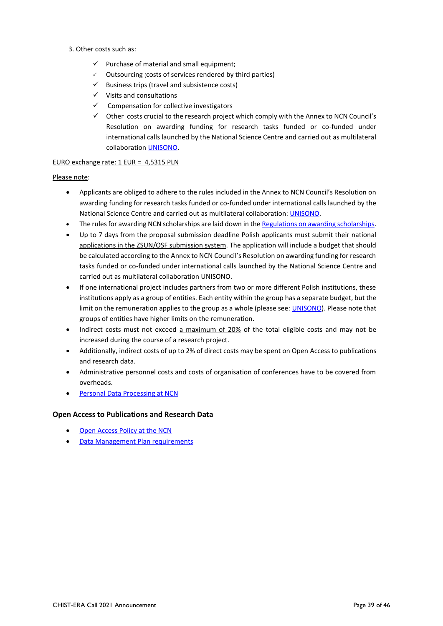- 3. Other costs such as:
	- $\checkmark$  Purchase of material and small equipment;
	- Outsourcing (costs of services rendered by third parties)
	- $\checkmark$  Business trips (travel and subsistence costs)
	- ✓ Visits and consultations
	- $\checkmark$  Compensation for collective investigators
	- ✓ Other costs crucial to the research project which comply with the Annex to NCN Council's Resolution on awarding funding for research tasks funded or co-funded under international calls launched by the National Science Centre and carried out as multilateral collaboration [UNISONO.](https://www.ncn.gov.pl/sites/default/files/pliki/uchwaly-rady/2021/uchwala80_2021-zal1_ang.pdf)

#### EURO exchange rate: 1 EUR = 4,5315 PLN

#### Please note:

- Applicants are obliged to adhere to the rules included in the Annex to NCN Council's Resolution on awarding funding for research tasks funded or co-funded under international calls launched by the National Science Centre and carried out as multilateral collaboration[: UNISONO.](https://www.ncn.gov.pl/sites/default/files/pliki/uchwaly-rady/2021/uchwala80_2021-zal1_ang.pdf)
- The rules for awarding NCN scholarships are laid down in th[e Regulations on awarding scholarships.](http://www.ncn.gov.pl/sites/default/files/pliki/uchwaly-rady/2019/uchwala25_2019-zal1_ang.pdf)
- Up to 7 days from the proposal submission deadline Polish applicants must submit their national applications in the ZSUN/OSF submission system. The application will include a budget that should be calculated according to the Annex to NCN Council's Resolution on awarding funding for research tasks funded or co-funded under international calls launched by the National Science Centre and carried out as multilateral collaboration UNISONO.
- If one international project includes partners from two or more different Polish institutions, these institutions apply as a group of entities. Each entity within the group has a separate budget, but the limit on the remuneration applies to the group as a whole (please see[: UNISONO\)](https://www.ncn.gov.pl/sites/default/files/pliki/uchwaly-rady/2021/uchwala80_2021-zal1_ang.pdf). Please note that groups of entities have higher limits on the remuneration.
- Indirect costs must not exceed a maximum of 20% of the total eligible costs and may not be increased during the course of a research project.
- Additionally, indirect costs of up to 2% of direct costs may be spent on Open Access to publications and research data.
- Administrative personnel costs and costs of organisation of conferences have to be covered from overheads.
- [Personal Data Processing at NCN](https://ncn.gov.pl/dane-osobowe?language=en)

#### **Open Access to Publications and Research Data**

- [Open Access Policy at the NCN](http://www.ncn.gov.pl/sites/default/files/pliki/zarzadzenia-dyrektora/zarzadzenieDyr-38_2020_ang.pdf#page=2)
- [Data Management Plan requirements](http://www.ncn.gov.pl/sites/default/files/pliki/regulaminy/wytyczne_zarzadzanie_danymi_06_2020_ang.pdf)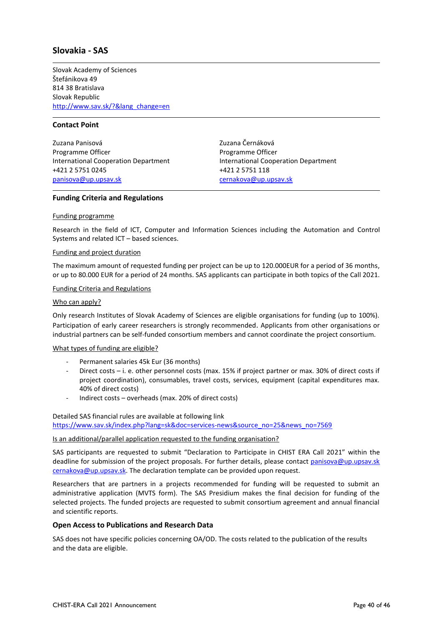## <span id="page-39-0"></span>**Slovakia - SAS**

Slovak Academy of Sciences Štefánikova 49 814 38 Bratislava Slovak Republic [http://www.sav.sk/?&lang\\_change=en](http://www.sav.sk/?&lang_change=en)

#### **Contact Point**

Zuzana Panisová Programme Officer International Cooperation Department +421 2 5751 0245 [panisova@up.upsav.sk](mailto:panisova@up.upsav.sk)

Zuzana Černáková Programme Officer International Cooperation Department +421 2 5751 118 [cernakova@up.upsav.sk](mailto:cernakova@up.upsav.sk)

#### **Funding Criteria and Regulations**

#### Funding programme

Research in the field of ICT, Computer and Information Sciences including the Automation and Control Systems and related ICT – based sciences.

#### Funding and project duration

The maximum amount of requested funding per project can be up to 120.000EUR for a period of 36 months, or up to 80.000 EUR for a period of 24 months. SAS applicants can participate in both topics of the Call 2021.

#### Funding Criteria and Regulations

#### Who can apply?

Only research Institutes of Slovak Academy of Sciences are eligible organisations for funding (up to 100%). Participation of early career researchers is strongly recommended. Applicants from other organisations or industrial partners can be self-funded consortium members and cannot coordinate the project consortium.

#### What types of funding are eligible?

- Permanent salaries 45k Eur (36 months)
- Direct costs i. e. other personnel costs (max. 15% if project partner or max. 30% of direct costs if project coordination), consumables, travel costs, services, equipment (capital expenditures max. 40% of direct costs)
- Indirect costs overheads (max. 20% of direct costs)

Detailed SAS financial rules are available at following link [https://www.sav.sk/index.php?lang=sk&doc=services-news&source\\_no=25&news\\_no=7569](https://www.sav.sk/index.php?lang=sk&doc=services-news&source_no=25&news_no=7569)

#### Is an additional/parallel application requested to the funding organisation?

SAS participants are requested to submit "Declaration to Participate in CHIST ERA Call 2021" within the deadline for submission of the project proposals. For further details, please contact [panisova@up.upsav.sk](mailto:panisova@up.upsav.sk) cernakova@up.upsav.sk. The declaration template can be provided upon request.

Researchers that are partners in a projects recommended for funding will be requested to submit an administrative application (MVTS form). The SAS Presidium makes the final decision for funding of the selected projects. The funded projects are requested to submit consortium agreement and annual financial and scientific reports.

#### **Open Access to Publications and Research Data**

SAS does not have specific policies concerning OA/OD. The costs related to the publication of the results and the data are eligible.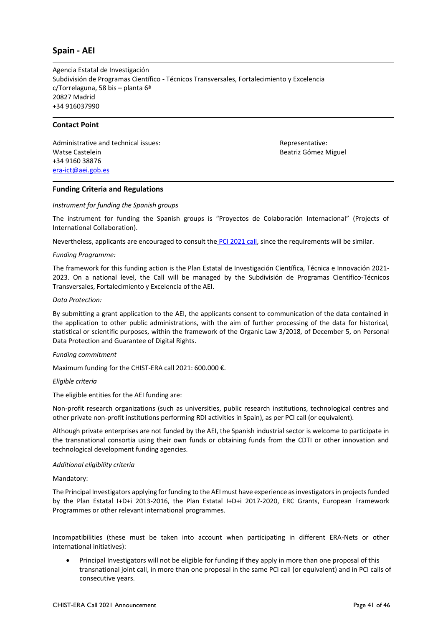## <span id="page-40-0"></span>**Spain - AEI**

Agencia Estatal de Investigación Subdivisión de Programas Científico - Técnicos Transversales, Fortalecimiento y Excelencia c/Torrelaguna, 58 bis – planta 6ª 20827 Madrid +34 916037990

#### **Contact Point**

Administrative and technical issues: Watse Castelein +34 9160 38876 [era-ict@aei.gob.es](mailto:era-ict@aei.gob.es)

Representative: Beatriz Gómez Miguel

#### **Funding Criteria and Regulations**

#### *Instrument for funding the Spanish groups*

The instrument for funding the Spanish groups is "Proyectos de Colaboración Internacional" (Projects of International Collaboration).

Nevertheless, applicants are encouraged to consult the [PCI 2021 call,](http://www.aei.gob.es/portal/site/MICINN/menuitem.dbc68b34d11ccbd5d52ffeb801432ea0/?vgnextoid=61e42688ad969710VgnVCM1000001d04140aRCRD) since the requirements will be similar.

#### *Funding Programme:*

The framework for this funding action is the Plan Estatal de Investigación Científica, Técnica e Innovación 2021- 2023. On a national level, the Call will be managed by the [Subdivisión de Programas Científico-Técnicos](http://www.ciencia.gob.es/portal/site/MICINN/menuitem.8ce192e94ba842bea3bc811001432ea0/?vgnextoid=702ab68c910c1410VgnVCM1000001d04140aRCRD&vgnextchannel=07f839f740db2410VgnVCM1000001d04140aRCRD)  [Transversales, Fortalecimiento y Excelencia](http://www.ciencia.gob.es/portal/site/MICINN/menuitem.8ce192e94ba842bea3bc811001432ea0/?vgnextoid=702ab68c910c1410VgnVCM1000001d04140aRCRD&vgnextchannel=07f839f740db2410VgnVCM1000001d04140aRCRD) of the AEI.

#### *Data Protection:*

By submitting a grant application to the AEI, the applicants consent to communication of the data contained in the application to other public administrations, with the aim of further processing of the data for historical, statistical or scientific purposes, within the framework of the Organic Law 3/2018, of December 5, on Personal Data Protection and Guarantee of Digital Rights.

#### *Funding commitment*

Maximum funding for the CHIST-ERA call 2021: 600.000 €.

#### *Eligible criteria*

The eligible entities for the AEI funding are:

Non-profit research organizations (such as universities, public research institutions, technological centres and other private non-profit institutions performing RDI activities in Spain), as per PCI call (or equivalent).

Although private enterprises are not funded by the AEI, the Spanish industrial sector is welcome to participate in the transnational consortia using their own funds or obtaining funds from the CDTI or other innovation and technological development funding agencies.

#### *Additional eligibility criteria*

Mandatory:

The Principal Investigators applying for funding to the AEI must have experience as investigators in projects funded by the Plan Estatal I+D+i 2013-2016, the Plan Estatal I+D+i 2017-2020, ERC Grants, European Framework Programmes or other relevant international programmes.

Incompatibilities (these must be taken into account when participating in different ERA-Nets or other international initiatives):

• Principal Investigators will not be eligible for funding if they apply in more than one proposal of this transnational joint call, in more than one proposal in the same PCI call (or equivalent) and in PCI calls of consecutive years.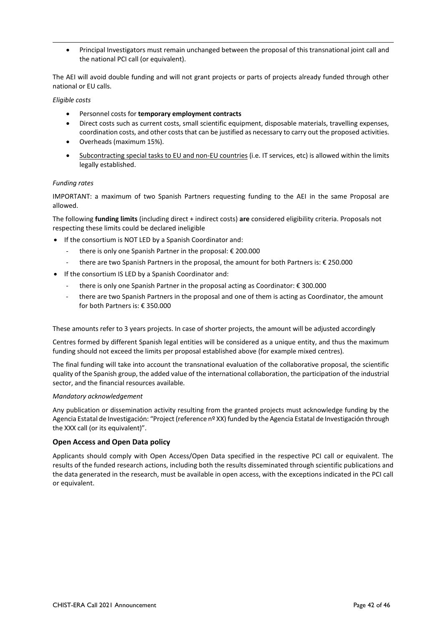• Principal Investigators must remain unchanged between the proposal of this transnational joint call and the national PCI call (or equivalent).

The AEI will avoid double funding and will not grant projects or parts of projects already funded through other national or EU calls.

#### *Eligible costs*

- Personnel costs for **temporary employment contracts**
- Direct costs such as current costs, small scientific equipment, disposable materials, travelling expenses, coordination costs, and other costs that can be justified as necessary to carry out the proposed activities.
- Overheads (maximum 15%).
- Subcontracting special tasks to EU and non-EU countries (i.e. IT services, etc) is allowed within the limits legally established.

#### *Funding rates*

IMPORTANT: a maximum of two Spanish Partners requesting funding to the AEI in the same Proposal are allowed.

The following **funding limits** (including direct + indirect costs) **are** considered eligibility criteria. Proposals not respecting these limits could be declared ineligible

- If the consortium is NOT LED by a Spanish Coordinator and:
	- there is only one Spanish Partner in the proposal: € 200.000
	- there are two Spanish Partners in the proposal, the amount for both Partners is: € 250.000
- If the consortium IS LED by a Spanish Coordinator and:
	- there is only one Spanish Partner in the proposal acting as Coordinator: € 300.000
	- there are two Spanish Partners in the proposal and one of them is acting as Coordinator, the amount for both Partners is: € 350.000

These amounts refer to 3 years projects. In case of shorter projects, the amount will be adjusted accordingly

Centres formed by different Spanish legal entities will be considered as a unique entity, and thus the maximum funding should not exceed the limits per proposal established above (for example mixed centres).

The final funding will take into account the transnational evaluation of the collaborative proposal, the scientific quality of the Spanish group, the added value of the international collaboration, the participation of the industrial sector, and the financial resources available*.*

#### *Mandatory acknowledgement*

Any publication or dissemination activity resulting from the granted projects must acknowledge funding by the Agencia Estatal de Investigación: "Project (reference nº XX) funded by the Agencia Estatal de Investigación through the XXX call (or its equivalent)".

#### **Open Access and Open Data policy**

Applicants should comply with Open Access/Open Data specified in the respective PCI call or equivalent. The results of the funded research actions, including both the results disseminated through scientific publications and the data generated in the research, must be available in open access, with the exceptions indicated in the PCI call or equivalent.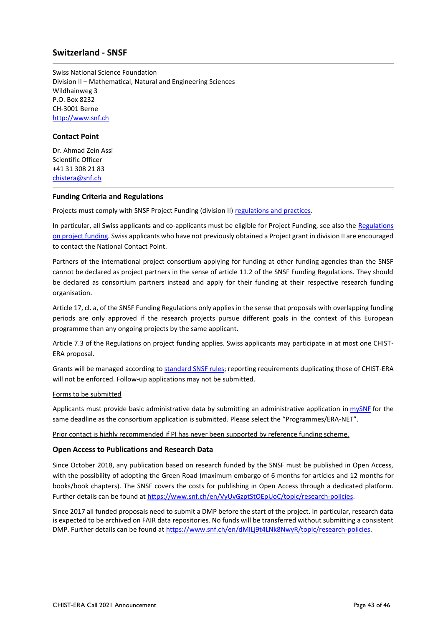## <span id="page-42-0"></span>**Switzerland - SNSF**

Swiss National Science Foundation Division II – Mathematical, Natural and Engineering Sciences Wildhainweg 3 P.O. Box 8232 CH-3001 Berne [http://www.snf.ch](http://www.snf.ch/)

#### **Contact Point**

Dr. Ahmad Zein Assi Scientific Officer +41 31 308 21 83 [chistera@snf.ch](mailto:chistera@snf.ch)

#### **Funding Criteria and Regulations**

Projects must comply with SNSF Project Funding (division II) [regulations and practices.](https://www.snf.ch/en/WAvYcY7awAUGolST/funding/projects/projects-in-all-disciplines)

In particular, all Swiss applicants and co-applicants must be eligible for Project Funding, see also the Regulations [on project funding.](https://www.snf.ch/api/media/en/FuUlveEikmunxb4X/projektfoerderungsreglement-e.pdf) Swiss applicants who have not previously obtained a Project grant in division II are encouraged to contact the National Contact Point.

Partners of the international project consortium applying for funding at other funding agencies than the SNSF cannot be declared as project partners in the sense of article 11.2 of the SNSF Funding Regulations. They should be declared as consortium partners instead and apply for their funding at their respective research funding organisation.

Article 17, cl. a, of the SNSF Funding Regulations only applies in the sense that proposals with overlapping funding periods are only approved if the research projects pursue different goals in the context of this European programme than any ongoing projects by the same applicant.

Article 7.3 of the Regulations on project funding applies. Swiss applicants may participate in at most one CHIST-ERA proposal.

Grants will be managed according to [standard SNSF rules;](http://www.snf.ch/SiteCollectionDocuments/allg_lifetime_management_e.pdf) reporting requirements duplicating those of CHIST-ERA will not be enforced. Follow-up applications may not be submitted.

#### Forms to be submitted

Applicants must provide basic administrative data by submitting an administrative application in [mySNF](http://www.mysnf.ch/) for the same deadline as the consortium application is submitted. Please select the "Programmes/ERA-NET".

Prior contact is highly recommended if PI has never been supported by reference funding scheme.

#### **Open Access to Publications and Research Data**

Since October 2018, any publication based on research funded by the SNSF must be published in Open Access, with the possibility of adopting the Green Road (maximum embargo of 6 months for articles and 12 months for books/book chapters). The SNSF covers the costs for publishing in Open Access through a dedicated platform. Further details can be found at [https://www.snf.ch/en/VyUvGzptStOEpUoC/topic/research-policies.](https://www.snf.ch/en/VyUvGzptStOEpUoC/topic/research-policies)

Since 2017 all funded proposals need to submit a DMP before the start of the project. In particular, research data is expected to be archived on FAIR data repositories. No funds will be transferred without submitting a consistent DMP. Further details can be found at [https://www.snf.ch/en/dMILj9t4LNk8NwyR/topic/research-policies.](https://www.snf.ch/en/dMILj9t4LNk8NwyR/topic/research-policies)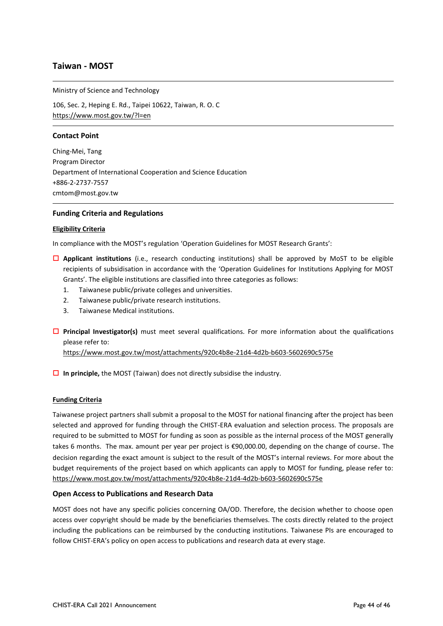## <span id="page-43-0"></span>**Taiwan - MOST**

Ministry of Science and Technology

106, Sec. 2, Heping E. Rd., Taipei 10622, Taiwan, R. O. C <https://www.most.gov.tw/?l=en>

#### **Contact Point**

Ching-Mei, Tang Program Director Department of International Cooperation and Science Education +886-2-2737-7557 [cmtom@most.gov.tw](mailto:cmtom@most.gov.tw)

#### **Funding Criteria and Regulations**

#### **Eligibility Criteria**

In compliance with the MOST's regulation 'Operation Guidelines for MOST Research Grants':

- **Applicant institutions** (i.e., research conducting institutions) shall be approved by MoST to be eligible recipients of subsidisation in accordance with the 'Operation Guidelines for Institutions Applying for MOST Grants'. The eligible institutions are classified into three categories as follows:
	- 1. Taiwanese public/private colleges and universities.
	- 2. Taiwanese public/private research institutions.
	- 3. Taiwanese Medical institutions.
- **Principal Investigator(s)** must meet several qualifications. For more information about the qualifications please refer to:

<https://www.most.gov.tw/most/attachments/920c4b8e-21d4-4d2b-b603-5602690c575e>

**In principle,** the MOST (Taiwan) does not directly subsidise the industry.

#### **Funding Criteria**

Taiwanese project partners shall submit a proposal to the MOST for national financing after the project has been selected and approved for funding through the CHIST-ERA evaluation and selection process. The proposals are required to be submitted to MOST for funding as soon as possible as the internal process of the MOST generally takes 6 months. The max. amount per year per project is €90,000.00, depending on the change of course. The decision regarding the exact amount is subject to the result of the MOST's internal reviews. For more about the budget requirements of the project based on which applicants can apply to MOST for funding, please refer to: <https://www.most.gov.tw/most/attachments/920c4b8e-21d4-4d2b-b603-5602690c575e>

#### **Open Access to Publications and Research Data**

MOST does not have any specific policies concerning OA/OD. Therefore, the decision whether to choose open access over copyright should be made by the beneficiaries themselves. The costs directly related to the project including the publications can be reimbursed by the conducting institutions. Taiwanese PIs are encouraged to follow CHIST-ERA's policy on open access to publications and research data at every stage.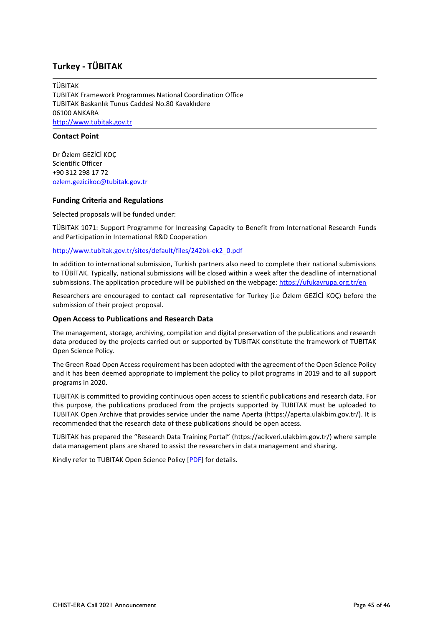## <span id="page-44-0"></span>**Turkey - TÜBITAK**

TÜBITAK TUBITAK Framework Programmes National Coordination Office TUBITAK Baskanlık Tunus Caddesi No.80 Kavaklıdere 06100 ANKARA [http://www.tubitak.gov.tr](http://www.tubitak.gov.tr/)

#### **Contact Point**

Dr Özlem GEZİCİ KOÇ Scientific Officer +90 312 298 17 72 [ozlem.gezicikoc@tubitak.gov.tr](mailto:ozlem.gezicikoc@tubitak.gov.tr) 

#### **Funding Criteria and Regulations**

Selected proposals will be funded under:

TÜBITAK 1071: Support Programme for Increasing Capacity to Benefit from International Research Funds and Participation in International R&D Cooperation

[http://www.tubitak.gov.tr/sites/default/files/242bk-ek2\\_0.pdf](http://www.tubitak.gov.tr/sites/default/files/242bk-ek2_0.pdf)

In addition to international submission, Turkish partners also need to complete their national submissions to TÜBİTAK. Typically, national submissions will be closed within a week after the deadline of international submissions. The application procedure will be published on the webpage[: https://ufukavrupa.org.tr/en](https://ufukavrupa.org.tr/en)

Researchers are encouraged to contact call representative for Turkey (i.e Özlem GEZİCİ KOÇ) before the submission of their project proposal.

#### **Open Access to Publications and Research Data**

The management, storage, archiving, compilation and digital preservation of the publications and research data produced by the projects carried out or supported by TUBITAK constitute the framework of TUBITAK Open Science Policy.

The Green Road Open Access requirement has been adopted with the agreement of the Open Science Policy and it has been deemed appropriate to implement the policy to pilot programs in 2019 and to all support programs in 2020.

TUBITAK is committed to providing continuous open access to scientific publications and research data. For this purpose, the publications produced from the projects supported by TUBITAK must be uploaded to TUBITAK Open Archive that provides service under the name Aperta (https://aperta.ulakbim.gov.tr/). It is recommended that the research data of these publications should be open access.

TUBITAK has prepared the "Research Data Training Portal" (https://acikveri.ulakbim.gov.tr/) where sample data management plans are shared to assist the researchers in data management and sharing.

Kindly refer to TUBITAK Open Science Policy [\[PDF\]](https://www.tubitak.gov.tr/sites/default/files/tubitak_acik_bilim_politikasi_190316.pdf) for details.